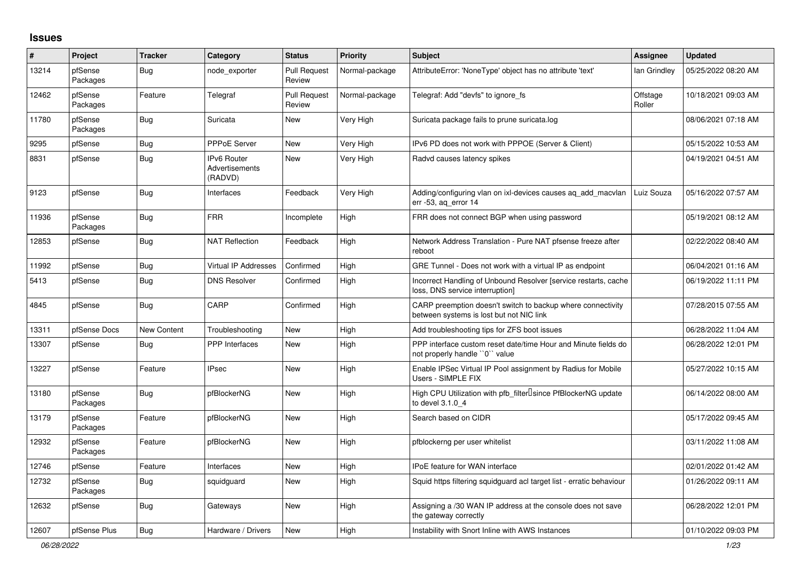## **Issues**

| #     | Project             | <b>Tracker</b> | Category                                 | <b>Status</b>                 | <b>Priority</b> | <b>Subject</b>                                                                                          | <b>Assignee</b>    | <b>Updated</b>      |
|-------|---------------------|----------------|------------------------------------------|-------------------------------|-----------------|---------------------------------------------------------------------------------------------------------|--------------------|---------------------|
| 13214 | pfSense<br>Packages | Bug            | node exporter                            | <b>Pull Request</b><br>Review | Normal-package  | AttributeError: 'NoneType' object has no attribute 'text'                                               | lan Grindley       | 05/25/2022 08:20 AM |
| 12462 | pfSense<br>Packages | Feature        | Telegraf                                 | <b>Pull Request</b><br>Review | Normal-package  | Telegraf: Add "devfs" to ignore fs                                                                      | Offstage<br>Roller | 10/18/2021 09:03 AM |
| 11780 | pfSense<br>Packages | Bug            | Suricata                                 | New                           | Very High       | Suricata package fails to prune suricata.log                                                            |                    | 08/06/2021 07:18 AM |
| 9295  | pfSense             | <b>Bug</b>     | PPPoE Server                             | New                           | Very High       | IPv6 PD does not work with PPPOE (Server & Client)                                                      |                    | 05/15/2022 10:53 AM |
| 8831  | pfSense             | Bug            | IPv6 Router<br>Advertisements<br>(RADVD) | <b>New</b>                    | Very High       | Radvd causes latency spikes                                                                             |                    | 04/19/2021 04:51 AM |
| 9123  | pfSense             | Bug            | Interfaces                               | Feedback                      | Very High       | Adding/configuring vlan on ixl-devices causes aq_add_macvlan<br>$err - 53$ , ag error 14                | Luiz Souza         | 05/16/2022 07:57 AM |
| 11936 | pfSense<br>Packages | Bug            | <b>FRR</b>                               | Incomplete                    | High            | FRR does not connect BGP when using password                                                            |                    | 05/19/2021 08:12 AM |
| 12853 | pfSense             | Bug            | <b>NAT Reflection</b>                    | Feedback                      | High            | Network Address Translation - Pure NAT pfsense freeze after<br>reboot                                   |                    | 02/22/2022 08:40 AM |
| 11992 | pfSense             | Bug            | Virtual IP Addresses                     | Confirmed                     | High            | GRE Tunnel - Does not work with a virtual IP as endpoint                                                |                    | 06/04/2021 01:16 AM |
| 5413  | pfSense             | Bug            | <b>DNS Resolver</b>                      | Confirmed                     | High            | Incorrect Handling of Unbound Resolver [service restarts, cache<br>loss, DNS service interruption]      |                    | 06/19/2022 11:11 PM |
| 4845  | pfSense             | <b>Bug</b>     | CARP                                     | Confirmed                     | High            | CARP preemption doesn't switch to backup where connectivity<br>between systems is lost but not NIC link |                    | 07/28/2015 07:55 AM |
| 13311 | pfSense Docs        | New Content    | Troubleshooting                          | <b>New</b>                    | High            | Add troubleshooting tips for ZFS boot issues                                                            |                    | 06/28/2022 11:04 AM |
| 13307 | pfSense             | Bug            | <b>PPP</b> Interfaces                    | <b>New</b>                    | High            | PPP interface custom reset date/time Hour and Minute fields do<br>not properly handle "0" value         |                    | 06/28/2022 12:01 PM |
| 13227 | pfSense             | Feature        | <b>IPsec</b>                             | <b>New</b>                    | High            | Enable IPSec Virtual IP Pool assignment by Radius for Mobile<br>Users - SIMPLE FIX                      |                    | 05/27/2022 10:15 AM |
| 13180 | pfSense<br>Packages | Bug            | pfBlockerNG                              | <b>New</b>                    | High            | High CPU Utilization with pfb_filter <sup>[]</sup> since PfBlockerNG update<br>to devel 3.1.0 4         |                    | 06/14/2022 08:00 AM |
| 13179 | pfSense<br>Packages | Feature        | pfBlockerNG                              | <b>New</b>                    | High            | Search based on CIDR                                                                                    |                    | 05/17/2022 09:45 AM |
| 12932 | pfSense<br>Packages | Feature        | pfBlockerNG                              | <b>New</b>                    | High            | pfblockerng per user whitelist                                                                          |                    | 03/11/2022 11:08 AM |
| 12746 | pfSense             | Feature        | Interfaces                               | <b>New</b>                    | High            | <b>IPoE</b> feature for WAN interface                                                                   |                    | 02/01/2022 01:42 AM |
| 12732 | pfSense<br>Packages | <b>Bug</b>     | squidguard                               | <b>New</b>                    | High            | Squid https filtering squidguard acl target list - erratic behaviour                                    |                    | 01/26/2022 09:11 AM |
| 12632 | pfSense             | Bug            | Gateways                                 | <b>New</b>                    | High            | Assigning a /30 WAN IP address at the console does not save<br>the gateway correctly                    |                    | 06/28/2022 12:01 PM |
| 12607 | pfSense Plus        | Bug            | Hardware / Drivers                       | <b>New</b>                    | High            | Instability with Snort Inline with AWS Instances                                                        |                    | 01/10/2022 09:03 PM |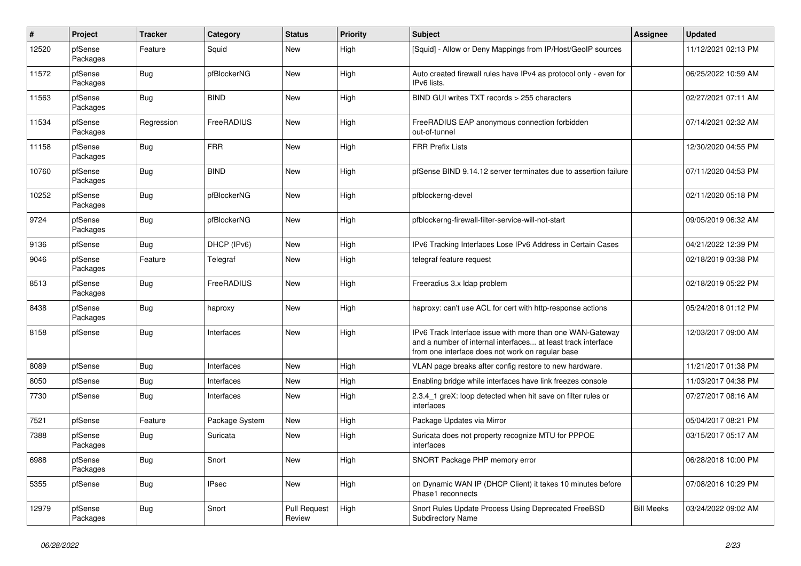| #     | Project             | <b>Tracker</b> | Category       | <b>Status</b>                 | <b>Priority</b> | <b>Subject</b>                                                                                                                                                                | Assignee          | <b>Updated</b>      |
|-------|---------------------|----------------|----------------|-------------------------------|-----------------|-------------------------------------------------------------------------------------------------------------------------------------------------------------------------------|-------------------|---------------------|
| 12520 | pfSense<br>Packages | Feature        | Squid          | New                           | High            | [Squid] - Allow or Deny Mappings from IP/Host/GeoIP sources                                                                                                                   |                   | 11/12/2021 02:13 PM |
| 11572 | pfSense<br>Packages | Bug            | pfBlockerNG    | <b>New</b>                    | High            | Auto created firewall rules have IPv4 as protocol only - even for<br>IPv6 lists.                                                                                              |                   | 06/25/2022 10:59 AM |
| 11563 | pfSense<br>Packages | <b>Bug</b>     | <b>BIND</b>    | New                           | High            | BIND GUI writes TXT records > 255 characters                                                                                                                                  |                   | 02/27/2021 07:11 AM |
| 11534 | pfSense<br>Packages | Regression     | FreeRADIUS     | New                           | High            | FreeRADIUS EAP anonymous connection forbidden<br>out-of-tunnel                                                                                                                |                   | 07/14/2021 02:32 AM |
| 11158 | pfSense<br>Packages | <b>Bug</b>     | <b>FRR</b>     | <b>New</b>                    | High            | <b>FRR Prefix Lists</b>                                                                                                                                                       |                   | 12/30/2020 04:55 PM |
| 10760 | pfSense<br>Packages | <b>Bug</b>     | <b>BIND</b>    | New                           | High            | pfSense BIND 9.14.12 server terminates due to assertion failure                                                                                                               |                   | 07/11/2020 04:53 PM |
| 10252 | pfSense<br>Packages | <b>Bug</b>     | pfBlockerNG    | New                           | High            | pfblockerng-devel                                                                                                                                                             |                   | 02/11/2020 05:18 PM |
| 9724  | pfSense<br>Packages | Bug            | pfBlockerNG    | New                           | High            | pfblockerng-firewall-filter-service-will-not-start                                                                                                                            |                   | 09/05/2019 06:32 AM |
| 9136  | pfSense             | <b>Bug</b>     | DHCP (IPv6)    | <b>New</b>                    | High            | IPv6 Tracking Interfaces Lose IPv6 Address in Certain Cases                                                                                                                   |                   | 04/21/2022 12:39 PM |
| 9046  | pfSense<br>Packages | Feature        | Telegraf       | <b>New</b>                    | High            | telegraf feature request                                                                                                                                                      |                   | 02/18/2019 03:38 PM |
| 8513  | pfSense<br>Packages | Bug            | FreeRADIUS     | <b>New</b>                    | High            | Freeradius 3.x Idap problem                                                                                                                                                   |                   | 02/18/2019 05:22 PM |
| 8438  | pfSense<br>Packages | Bug            | haproxy        | New                           | High            | haproxy: can't use ACL for cert with http-response actions                                                                                                                    |                   | 05/24/2018 01:12 PM |
| 8158  | pfSense             | <b>Bug</b>     | Interfaces     | New                           | High            | IPv6 Track Interface issue with more than one WAN-Gateway<br>and a number of internal interfaces at least track interface<br>from one interface does not work on regular base |                   | 12/03/2017 09:00 AM |
| 8089  | pfSense             | <b>Bug</b>     | Interfaces     | <b>New</b>                    | High            | VLAN page breaks after config restore to new hardware.                                                                                                                        |                   | 11/21/2017 01:38 PM |
| 8050  | pfSense             | <b>Bug</b>     | Interfaces     | New                           | High            | Enabling bridge while interfaces have link freezes console                                                                                                                    |                   | 11/03/2017 04:38 PM |
| 7730  | pfSense             | Bug            | Interfaces     | <b>New</b>                    | High            | 2.3.4_1 greX: loop detected when hit save on filter rules or<br>interfaces                                                                                                    |                   | 07/27/2017 08:16 AM |
| 7521  | pfSense             | Feature        | Package System | New                           | High            | Package Updates via Mirror                                                                                                                                                    |                   | 05/04/2017 08:21 PM |
| 7388  | pfSense<br>Packages | <b>Bug</b>     | Suricata       | New                           | High            | Suricata does not property recognize MTU for PPPOE<br>interfaces                                                                                                              |                   | 03/15/2017 05:17 AM |
| 6988  | pfSense<br>Packages | Bug            | Snort          | New                           | High            | SNORT Package PHP memory error                                                                                                                                                |                   | 06/28/2018 10:00 PM |
| 5355  | pfSense             | Bug            | <b>IPsec</b>   | New                           | High            | on Dynamic WAN IP (DHCP Client) it takes 10 minutes before<br>Phase1 reconnects                                                                                               |                   | 07/08/2016 10:29 PM |
| 12979 | pfSense<br>Packages | Bug            | Snort          | <b>Pull Request</b><br>Review | High            | Snort Rules Update Process Using Deprecated FreeBSD<br><b>Subdirectory Name</b>                                                                                               | <b>Bill Meeks</b> | 03/24/2022 09:02 AM |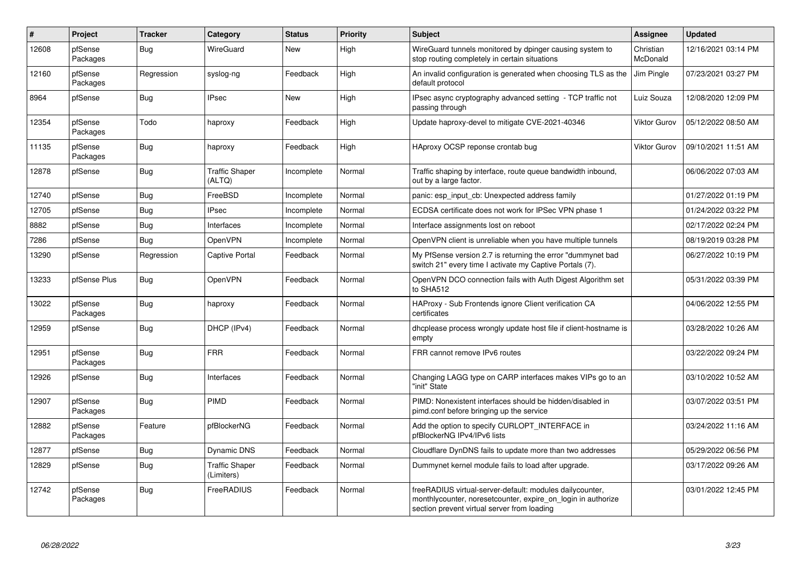| #     | Project             | <b>Tracker</b> | Category                            | <b>Status</b> | <b>Priority</b> | <b>Subject</b>                                                                                                                                                           | <b>Assignee</b>       | <b>Updated</b>      |
|-------|---------------------|----------------|-------------------------------------|---------------|-----------------|--------------------------------------------------------------------------------------------------------------------------------------------------------------------------|-----------------------|---------------------|
| 12608 | pfSense<br>Packages | Bug            | WireGuard                           | <b>New</b>    | High            | WireGuard tunnels monitored by dpinger causing system to<br>stop routing completely in certain situations                                                                | Christian<br>McDonald | 12/16/2021 03:14 PM |
| 12160 | pfSense<br>Packages | Regression     | syslog-ng                           | Feedback      | High            | An invalid configuration is generated when choosing TLS as the<br>default protocol                                                                                       | Jim Pingle            | 07/23/2021 03:27 PM |
| 8964  | pfSense             | <b>Bug</b>     | <b>IPsec</b>                        | <b>New</b>    | High            | IPsec async cryptography advanced setting - TCP traffic not<br>passing through                                                                                           | Luiz Souza            | 12/08/2020 12:09 PM |
| 12354 | pfSense<br>Packages | Todo           | haproxy                             | Feedback      | High            | Update haproxy-devel to mitigate CVE-2021-40346                                                                                                                          | Viktor Gurov          | 05/12/2022 08:50 AM |
| 11135 | pfSense<br>Packages | <b>Bug</b>     | haproxy                             | Feedback      | High            | HAproxy OCSP reponse crontab bug                                                                                                                                         | Viktor Gurov          | 09/10/2021 11:51 AM |
| 12878 | pfSense             | Bug            | <b>Traffic Shaper</b><br>(ALTQ)     | Incomplete    | Normal          | Traffic shaping by interface, route queue bandwidth inbound,<br>out by a large factor.                                                                                   |                       | 06/06/2022 07:03 AM |
| 12740 | pfSense             | <b>Bug</b>     | FreeBSD                             | Incomplete    | Normal          | panic: esp input cb: Unexpected address family                                                                                                                           |                       | 01/27/2022 01:19 PM |
| 12705 | pfSense             | Bug            | <b>IPsec</b>                        | Incomplete    | Normal          | ECDSA certificate does not work for IPSec VPN phase 1                                                                                                                    |                       | 01/24/2022 03:22 PM |
| 8882  | pfSense             | <b>Bug</b>     | Interfaces                          | Incomplete    | Normal          | Interface assignments lost on reboot                                                                                                                                     |                       | 02/17/2022 02:24 PM |
| 7286  | pfSense             | Bug            | <b>OpenVPN</b>                      | Incomplete    | Normal          | OpenVPN client is unreliable when you have multiple tunnels                                                                                                              |                       | 08/19/2019 03:28 PM |
| 13290 | pfSense             | Regression     | <b>Captive Portal</b>               | Feedback      | Normal          | My PfSense version 2.7 is returning the error "dummynet bad<br>switch 21" every time I activate my Captive Portals (7).                                                  |                       | 06/27/2022 10:19 PM |
| 13233 | pfSense Plus        | Bug            | OpenVPN                             | Feedback      | Normal          | OpenVPN DCO connection fails with Auth Digest Algorithm set<br>to SHA512                                                                                                 |                       | 05/31/2022 03:39 PM |
| 13022 | pfSense<br>Packages | <b>Bug</b>     | haproxy                             | Feedback      | Normal          | HAProxy - Sub Frontends ignore Client verification CA<br>certificates                                                                                                    |                       | 04/06/2022 12:55 PM |
| 12959 | pfSense             | Bug            | DHCP (IPv4)                         | Feedback      | Normal          | dhcplease process wrongly update host file if client-hostname is<br>empty                                                                                                |                       | 03/28/2022 10:26 AM |
| 12951 | pfSense<br>Packages | <b>Bug</b>     | <b>FRR</b>                          | Feedback      | Normal          | FRR cannot remove IPv6 routes                                                                                                                                            |                       | 03/22/2022 09:24 PM |
| 12926 | pfSense             | Bug            | Interfaces                          | Feedback      | Normal          | Changing LAGG type on CARP interfaces makes VIPs go to an<br>"init" State                                                                                                |                       | 03/10/2022 10:52 AM |
| 12907 | pfSense<br>Packages | Bug            | <b>PIMD</b>                         | Feedback      | Normal          | PIMD: Nonexistent interfaces should be hidden/disabled in<br>pimd.conf before bringing up the service                                                                    |                       | 03/07/2022 03:51 PM |
| 12882 | pfSense<br>Packages | Feature        | pfBlockerNG                         | Feedback      | Normal          | Add the option to specify CURLOPT_INTERFACE in<br>pfBlockerNG IPv4/IPv6 lists                                                                                            |                       | 03/24/2022 11:16 AM |
| 12877 | pfSense             | <b>Bug</b>     | <b>Dynamic DNS</b>                  | Feedback      | Normal          | Cloudflare DynDNS fails to update more than two addresses                                                                                                                |                       | 05/29/2022 06:56 PM |
| 12829 | pfSense             | Bug            | <b>Traffic Shaper</b><br>(Limiters) | Feedback      | Normal          | Dummynet kernel module fails to load after upgrade.                                                                                                                      |                       | 03/17/2022 09:26 AM |
| 12742 | pfSense<br>Packages | Bug            | FreeRADIUS                          | Feedback      | Normal          | freeRADIUS virtual-server-default: modules dailycounter,<br>monthlycounter, noreset counter, expire on login in authorize<br>section prevent virtual server from loading |                       | 03/01/2022 12:45 PM |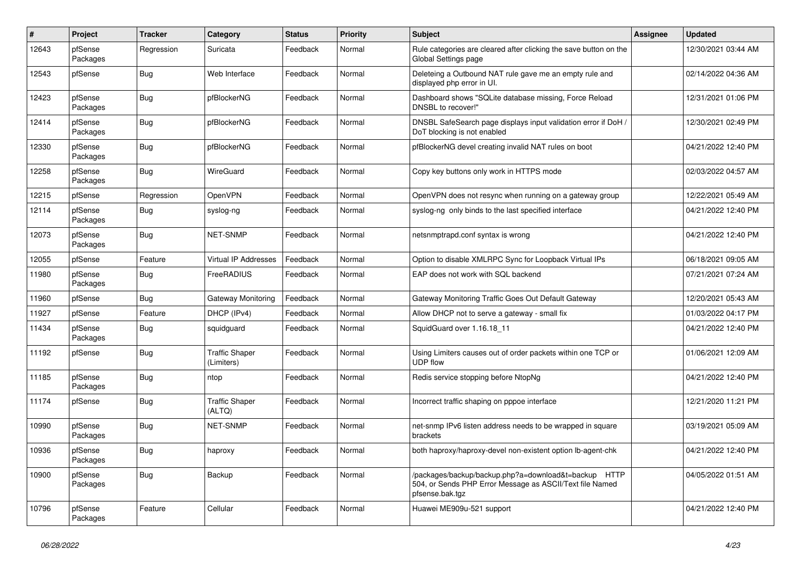| #     | Project             | <b>Tracker</b> | Category                            | <b>Status</b> | Priority | <b>Subject</b>                                                                                                                      | <b>Assignee</b> | <b>Updated</b>      |
|-------|---------------------|----------------|-------------------------------------|---------------|----------|-------------------------------------------------------------------------------------------------------------------------------------|-----------------|---------------------|
| 12643 | pfSense<br>Packages | Regression     | Suricata                            | Feedback      | Normal   | Rule categories are cleared after clicking the save button on the<br>Global Settings page                                           |                 | 12/30/2021 03:44 AM |
| 12543 | pfSense             | Bug            | Web Interface                       | Feedback      | Normal   | Deleteing a Outbound NAT rule gave me an empty rule and<br>displayed php error in UI.                                               |                 | 02/14/2022 04:36 AM |
| 12423 | pfSense<br>Packages | Bug            | pfBlockerNG                         | Feedback      | Normal   | Dashboard shows "SQLite database missing, Force Reload<br>DNSBL to recover!"                                                        |                 | 12/31/2021 01:06 PM |
| 12414 | pfSense<br>Packages | Bug            | pfBlockerNG                         | Feedback      | Normal   | DNSBL SafeSearch page displays input validation error if DoH /<br>DoT blocking is not enabled                                       |                 | 12/30/2021 02:49 PM |
| 12330 | pfSense<br>Packages | Bug            | pfBlockerNG                         | Feedback      | Normal   | pfBlockerNG devel creating invalid NAT rules on boot                                                                                |                 | 04/21/2022 12:40 PM |
| 12258 | pfSense<br>Packages | Bug            | <b>WireGuard</b>                    | Feedback      | Normal   | Copy key buttons only work in HTTPS mode                                                                                            |                 | 02/03/2022 04:57 AM |
| 12215 | pfSense             | Regression     | <b>OpenVPN</b>                      | Feedback      | Normal   | OpenVPN does not resync when running on a gateway group                                                                             |                 | 12/22/2021 05:49 AM |
| 12114 | pfSense<br>Packages | Bug            | syslog-ng                           | Feedback      | Normal   | syslog-ng only binds to the last specified interface                                                                                |                 | 04/21/2022 12:40 PM |
| 12073 | pfSense<br>Packages | Bug            | NET-SNMP                            | Feedback      | Normal   | netsnmptrapd.conf syntax is wrong                                                                                                   |                 | 04/21/2022 12:40 PM |
| 12055 | pfSense             | Feature        | <b>Virtual IP Addresses</b>         | Feedback      | Normal   | Option to disable XMLRPC Sync for Loopback Virtual IPs                                                                              |                 | 06/18/2021 09:05 AM |
| 11980 | pfSense<br>Packages | <b>Bug</b>     | FreeRADIUS                          | Feedback      | Normal   | EAP does not work with SQL backend                                                                                                  |                 | 07/21/2021 07:24 AM |
| 11960 | pfSense             | <b>Bug</b>     | Gateway Monitoring                  | Feedback      | Normal   | Gateway Monitoring Traffic Goes Out Default Gateway                                                                                 |                 | 12/20/2021 05:43 AM |
| 11927 | pfSense             | Feature        | DHCP (IPv4)                         | Feedback      | Normal   | Allow DHCP not to serve a gateway - small fix                                                                                       |                 | 01/03/2022 04:17 PM |
| 11434 | pfSense<br>Packages | Bug            | squidguard                          | Feedback      | Normal   | SquidGuard over 1.16.18 11                                                                                                          |                 | 04/21/2022 12:40 PM |
| 11192 | pfSense             | Bug            | <b>Traffic Shaper</b><br>(Limiters) | Feedback      | Normal   | Using Limiters causes out of order packets within one TCP or<br><b>UDP flow</b>                                                     |                 | 01/06/2021 12:09 AM |
| 11185 | pfSense<br>Packages | <b>Bug</b>     | ntop                                | Feedback      | Normal   | Redis service stopping before NtopNg                                                                                                |                 | 04/21/2022 12:40 PM |
| 11174 | pfSense             | Bug            | <b>Traffic Shaper</b><br>(ALTQ)     | Feedback      | Normal   | Incorrect traffic shaping on pppoe interface                                                                                        |                 | 12/21/2020 11:21 PM |
| 10990 | pfSense<br>Packages | Bug            | <b>NET-SNMP</b>                     | Feedback      | Normal   | net-snmp IPv6 listen address needs to be wrapped in square<br>brackets                                                              |                 | 03/19/2021 05:09 AM |
| 10936 | pfSense<br>Packages | Bug            | haproxy                             | Feedback      | Normal   | both haproxy/haproxy-devel non-existent option lb-agent-chk                                                                         |                 | 04/21/2022 12:40 PM |
| 10900 | pfSense<br>Packages | Bug            | Backup                              | Feedback      | Normal   | /packages/backup/backup.php?a=download&t=backup HTTP<br>504, or Sends PHP Error Message as ASCII/Text file Named<br>pfsense.bak.tgz |                 | 04/05/2022 01:51 AM |
| 10796 | pfSense<br>Packages | Feature        | Cellular                            | Feedback      | Normal   | Huawei ME909u-521 support                                                                                                           |                 | 04/21/2022 12:40 PM |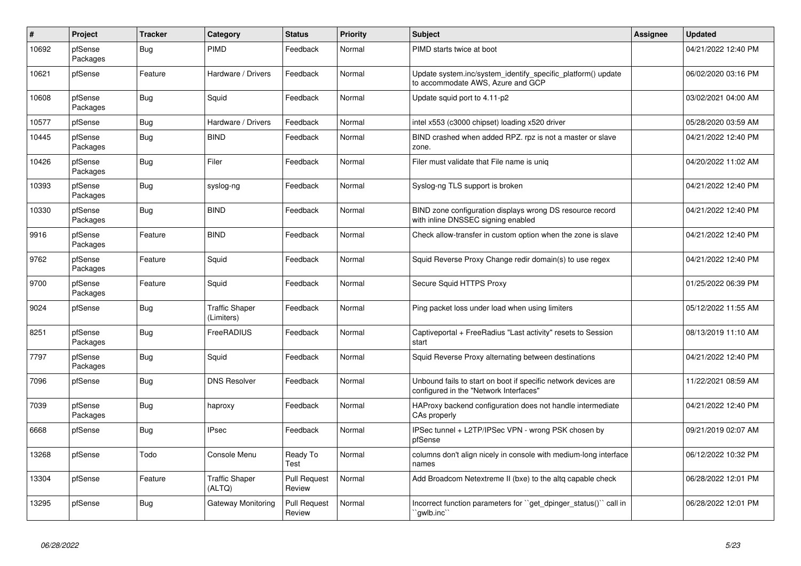| $\vert$ # | Project             | <b>Tracker</b> | Category                            | <b>Status</b>                 | <b>Priority</b> | <b>Subject</b>                                                                                           | <b>Assignee</b> | <b>Updated</b>      |
|-----------|---------------------|----------------|-------------------------------------|-------------------------------|-----------------|----------------------------------------------------------------------------------------------------------|-----------------|---------------------|
| 10692     | pfSense<br>Packages | Bug            | <b>PIMD</b>                         | Feedback                      | Normal          | PIMD starts twice at boot                                                                                |                 | 04/21/2022 12:40 PM |
| 10621     | pfSense             | Feature        | Hardware / Drivers                  | Feedback                      | Normal          | Update system.inc/system identify specific platform() update<br>to accommodate AWS, Azure and GCP        |                 | 06/02/2020 03:16 PM |
| 10608     | pfSense<br>Packages | <b>Bug</b>     | Squid                               | Feedback                      | Normal          | Update squid port to 4.11-p2                                                                             |                 | 03/02/2021 04:00 AM |
| 10577     | pfSense             | Bug            | Hardware / Drivers                  | Feedback                      | Normal          | intel x553 (c3000 chipset) loading x520 driver                                                           |                 | 05/28/2020 03:59 AM |
| 10445     | pfSense<br>Packages | <b>Bug</b>     | <b>BIND</b>                         | Feedback                      | Normal          | BIND crashed when added RPZ. rpz is not a master or slave<br>zone.                                       |                 | 04/21/2022 12:40 PM |
| 10426     | pfSense<br>Packages | Bug            | Filer                               | Feedback                      | Normal          | Filer must validate that File name is uniq                                                               |                 | 04/20/2022 11:02 AM |
| 10393     | pfSense<br>Packages | Bug            | syslog-ng                           | Feedback                      | Normal          | Syslog-ng TLS support is broken                                                                          |                 | 04/21/2022 12:40 PM |
| 10330     | pfSense<br>Packages | <b>Bug</b>     | <b>BIND</b>                         | Feedback                      | Normal          | BIND zone configuration displays wrong DS resource record<br>with inline DNSSEC signing enabled          |                 | 04/21/2022 12:40 PM |
| 9916      | pfSense<br>Packages | Feature        | <b>BIND</b>                         | Feedback                      | Normal          | Check allow-transfer in custom option when the zone is slave                                             |                 | 04/21/2022 12:40 PM |
| 9762      | pfSense<br>Packages | Feature        | Squid                               | Feedback                      | Normal          | Squid Reverse Proxy Change redir domain(s) to use regex                                                  |                 | 04/21/2022 12:40 PM |
| 9700      | pfSense<br>Packages | Feature        | Squid                               | Feedback                      | Normal          | Secure Squid HTTPS Proxy                                                                                 |                 | 01/25/2022 06:39 PM |
| 9024      | pfSense             | Bug            | <b>Traffic Shaper</b><br>(Limiters) | Feedback                      | Normal          | Ping packet loss under load when using limiters                                                          |                 | 05/12/2022 11:55 AM |
| 8251      | pfSense<br>Packages | Bug            | FreeRADIUS                          | Feedback                      | Normal          | Captiveportal + FreeRadius "Last activity" resets to Session<br>start                                    |                 | 08/13/2019 11:10 AM |
| 7797      | pfSense<br>Packages | Bug            | Squid                               | Feedback                      | Normal          | Squid Reverse Proxy alternating between destinations                                                     |                 | 04/21/2022 12:40 PM |
| 7096      | pfSense             | Bug            | <b>DNS Resolver</b>                 | Feedback                      | Normal          | Unbound fails to start on boot if specific network devices are<br>configured in the "Network Interfaces" |                 | 11/22/2021 08:59 AM |
| 7039      | pfSense<br>Packages | <b>Bug</b>     | haproxy                             | Feedback                      | Normal          | HAProxy backend configuration does not handle intermediate<br>CAs properly                               |                 | 04/21/2022 12:40 PM |
| 6668      | pfSense             | <b>Bug</b>     | <b>IPsec</b>                        | Feedback                      | Normal          | IPSec tunnel + L2TP/IPSec VPN - wrong PSK chosen by<br>pfSense                                           |                 | 09/21/2019 02:07 AM |
| 13268     | pfSense             | Todo           | Console Menu                        | Ready To<br>Test              | Normal          | columns don't align nicely in console with medium-long interface<br>names                                |                 | 06/12/2022 10:32 PM |
| 13304     | pfSense             | Feature        | <b>Traffic Shaper</b><br>(ALTQ)     | <b>Pull Request</b><br>Review | Normal          | Add Broadcom Netextreme II (bxe) to the altg capable check                                               |                 | 06/28/2022 12:01 PM |
| 13295     | pfSense             | <b>Bug</b>     | Gateway Monitoring                  | <b>Pull Request</b><br>Review | Normal          | Incorrect function parameters for ``get_dpinger_status()`` call in<br>`qwlb.inc``                        |                 | 06/28/2022 12:01 PM |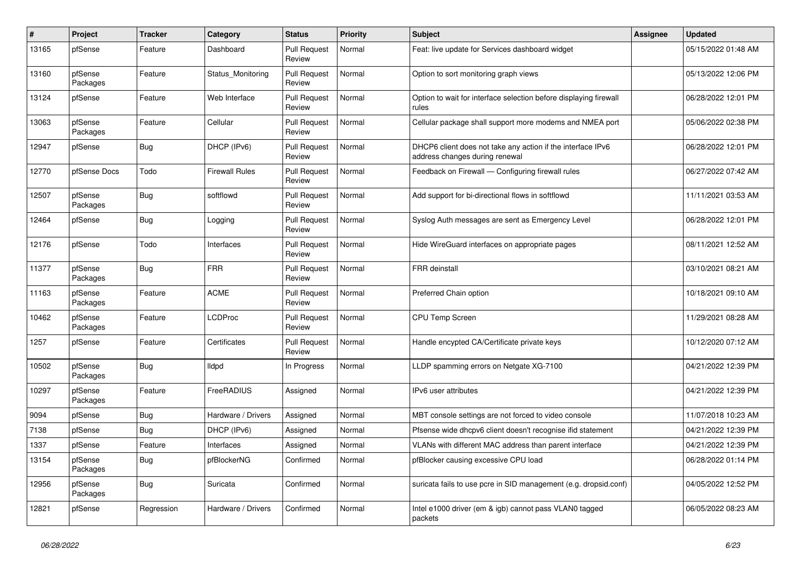| $\#$  | Project             | <b>Tracker</b> | Category              | <b>Status</b>                 | <b>Priority</b> | <b>Subject</b>                                                                                | <b>Assignee</b> | <b>Updated</b>      |
|-------|---------------------|----------------|-----------------------|-------------------------------|-----------------|-----------------------------------------------------------------------------------------------|-----------------|---------------------|
| 13165 | pfSense             | Feature        | Dashboard             | <b>Pull Request</b><br>Review | Normal          | Feat: live update for Services dashboard widget                                               |                 | 05/15/2022 01:48 AM |
| 13160 | pfSense<br>Packages | Feature        | Status Monitoring     | <b>Pull Request</b><br>Review | Normal          | Option to sort monitoring graph views                                                         |                 | 05/13/2022 12:06 PM |
| 13124 | pfSense             | Feature        | Web Interface         | <b>Pull Request</b><br>Review | Normal          | Option to wait for interface selection before displaying firewall<br>rules                    |                 | 06/28/2022 12:01 PM |
| 13063 | pfSense<br>Packages | Feature        | Cellular              | <b>Pull Request</b><br>Review | Normal          | Cellular package shall support more modems and NMEA port                                      |                 | 05/06/2022 02:38 PM |
| 12947 | pfSense             | Bug            | DHCP (IPv6)           | <b>Pull Request</b><br>Review | Normal          | DHCP6 client does not take any action if the interface IPv6<br>address changes during renewal |                 | 06/28/2022 12:01 PM |
| 12770 | pfSense Docs        | Todo           | <b>Firewall Rules</b> | <b>Pull Request</b><br>Review | Normal          | Feedback on Firewall - Configuring firewall rules                                             |                 | 06/27/2022 07:42 AM |
| 12507 | pfSense<br>Packages | <b>Bug</b>     | softflowd             | <b>Pull Request</b><br>Review | Normal          | Add support for bi-directional flows in softflowd                                             |                 | 11/11/2021 03:53 AM |
| 12464 | pfSense             | Bug            | Logging               | <b>Pull Request</b><br>Review | Normal          | Syslog Auth messages are sent as Emergency Level                                              |                 | 06/28/2022 12:01 PM |
| 12176 | pfSense             | Todo           | Interfaces            | <b>Pull Request</b><br>Review | Normal          | Hide WireGuard interfaces on appropriate pages                                                |                 | 08/11/2021 12:52 AM |
| 11377 | pfSense<br>Packages | Bug            | <b>FRR</b>            | <b>Pull Request</b><br>Review | Normal          | <b>FRR</b> deinstall                                                                          |                 | 03/10/2021 08:21 AM |
| 11163 | pfSense<br>Packages | Feature        | ACME                  | <b>Pull Request</b><br>Review | Normal          | Preferred Chain option                                                                        |                 | 10/18/2021 09:10 AM |
| 10462 | pfSense<br>Packages | Feature        | <b>LCDProc</b>        | <b>Pull Request</b><br>Review | Normal          | CPU Temp Screen                                                                               |                 | 11/29/2021 08:28 AM |
| 1257  | pfSense             | Feature        | Certificates          | <b>Pull Request</b><br>Review | Normal          | Handle encypted CA/Certificate private keys                                                   |                 | 10/12/2020 07:12 AM |
| 10502 | pfSense<br>Packages | <b>Bug</b>     | <b>Ildpd</b>          | In Progress                   | Normal          | LLDP spamming errors on Netgate XG-7100                                                       |                 | 04/21/2022 12:39 PM |
| 10297 | pfSense<br>Packages | Feature        | FreeRADIUS            | Assigned                      | Normal          | IPv6 user attributes                                                                          |                 | 04/21/2022 12:39 PM |
| 9094  | pfSense             | <b>Bug</b>     | Hardware / Drivers    | Assigned                      | Normal          | MBT console settings are not forced to video console                                          |                 | 11/07/2018 10:23 AM |
| 7138  | pfSense             | Bug            | DHCP (IPv6)           | Assigned                      | Normal          | Pfsense wide dhcpv6 client doesn't recognise if id statement                                  |                 | 04/21/2022 12:39 PM |
| 1337  | pfSense             | Feature        | Interfaces            | Assigned                      | Normal          | VLANs with different MAC address than parent interface                                        |                 | 04/21/2022 12:39 PM |
| 13154 | pfSense<br>Packages | <b>Bug</b>     | pfBlockerNG           | Confirmed                     | Normal          | pfBlocker causing excessive CPU load                                                          |                 | 06/28/2022 01:14 PM |
| 12956 | pfSense<br>Packages | <b>Bug</b>     | Suricata              | Confirmed                     | Normal          | suricata fails to use pcre in SID management (e.g. dropsid.conf)                              |                 | 04/05/2022 12:52 PM |
| 12821 | pfSense             | Regression     | Hardware / Drivers    | Confirmed                     | Normal          | Intel e1000 driver (em & igb) cannot pass VLAN0 tagged<br>packets                             |                 | 06/05/2022 08:23 AM |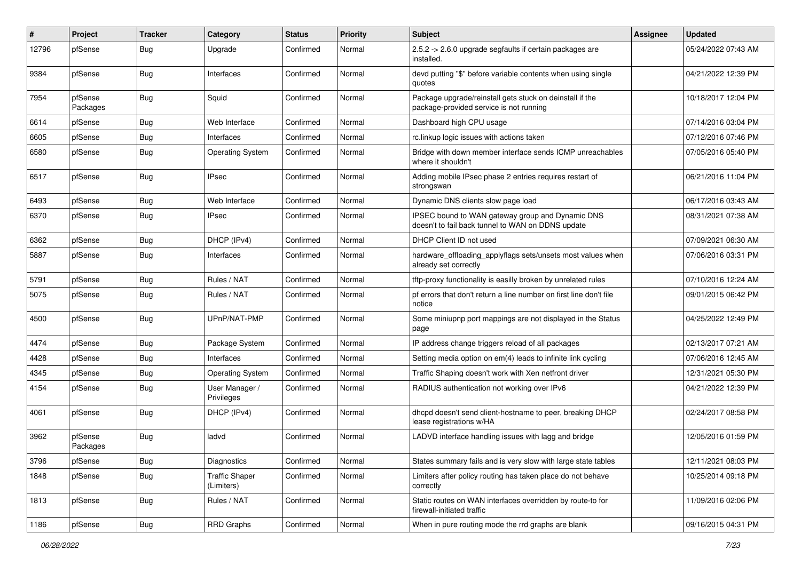| #     | Project             | <b>Tracker</b> | Category                            | <b>Status</b> | <b>Priority</b> | <b>Subject</b>                                                                                        | Assignee | <b>Updated</b>      |
|-------|---------------------|----------------|-------------------------------------|---------------|-----------------|-------------------------------------------------------------------------------------------------------|----------|---------------------|
| 12796 | pfSense             | <b>Bug</b>     | Upgrade                             | Confirmed     | Normal          | 2.5.2 -> 2.6.0 upgrade segfaults if certain packages are<br>installed.                                |          | 05/24/2022 07:43 AM |
| 9384  | pfSense             | Bug            | Interfaces                          | Confirmed     | Normal          | devd putting "\$" before variable contents when using single<br>quotes                                |          | 04/21/2022 12:39 PM |
| 7954  | pfSense<br>Packages | Bug            | Squid                               | Confirmed     | Normal          | Package upgrade/reinstall gets stuck on deinstall if the<br>package-provided service is not running   |          | 10/18/2017 12:04 PM |
| 6614  | pfSense             | <b>Bug</b>     | Web Interface                       | Confirmed     | Normal          | Dashboard high CPU usage                                                                              |          | 07/14/2016 03:04 PM |
| 6605  | pfSense             | <b>Bug</b>     | Interfaces                          | Confirmed     | Normal          | rc.linkup logic issues with actions taken                                                             |          | 07/12/2016 07:46 PM |
| 6580  | pfSense             | Bug            | <b>Operating System</b>             | Confirmed     | Normal          | Bridge with down member interface sends ICMP unreachables<br>where it shouldn't                       |          | 07/05/2016 05:40 PM |
| 6517  | pfSense             | Bug            | <b>IPsec</b>                        | Confirmed     | Normal          | Adding mobile IPsec phase 2 entries requires restart of<br>strongswan                                 |          | 06/21/2016 11:04 PM |
| 6493  | pfSense             | Bug            | Web Interface                       | Confirmed     | Normal          | Dynamic DNS clients slow page load                                                                    |          | 06/17/2016 03:43 AM |
| 6370  | pfSense             | Bug            | <b>IPsec</b>                        | Confirmed     | Normal          | IPSEC bound to WAN gateway group and Dynamic DNS<br>doesn't to fail back tunnel to WAN on DDNS update |          | 08/31/2021 07:38 AM |
| 6362  | pfSense             | Bug            | DHCP (IPv4)                         | Confirmed     | Normal          | DHCP Client ID not used                                                                               |          | 07/09/2021 06:30 AM |
| 5887  | pfSense             | Bug            | Interfaces                          | Confirmed     | Normal          | hardware_offloading_applyflags sets/unsets most values when<br>already set correctly                  |          | 07/06/2016 03:31 PM |
| 5791  | pfSense             | Bug            | Rules / NAT                         | Confirmed     | Normal          | tftp-proxy functionality is easilly broken by unrelated rules                                         |          | 07/10/2016 12:24 AM |
| 5075  | pfSense             | <b>Bug</b>     | Rules / NAT                         | Confirmed     | Normal          | pf errors that don't return a line number on first line don't file<br>notice                          |          | 09/01/2015 06:42 PM |
| 4500  | pfSense             | Bug            | UPnP/NAT-PMP                        | Confirmed     | Normal          | Some miniupnp port mappings are not displayed in the Status<br>page                                   |          | 04/25/2022 12:49 PM |
| 4474  | pfSense             | Bug            | Package System                      | Confirmed     | Normal          | IP address change triggers reload of all packages                                                     |          | 02/13/2017 07:21 AM |
| 4428  | pfSense             | Bug            | Interfaces                          | Confirmed     | Normal          | Setting media option on em(4) leads to infinite link cycling                                          |          | 07/06/2016 12:45 AM |
| 4345  | pfSense             | <b>Bug</b>     | <b>Operating System</b>             | Confirmed     | Normal          | Traffic Shaping doesn't work with Xen netfront driver                                                 |          | 12/31/2021 05:30 PM |
| 4154  | pfSense             | Bug            | User Manager /<br>Privileges        | Confirmed     | Normal          | RADIUS authentication not working over IPv6                                                           |          | 04/21/2022 12:39 PM |
| 4061  | pfSense             | Bug            | DHCP (IPv4)                         | Confirmed     | Normal          | dhcpd doesn't send client-hostname to peer, breaking DHCP<br>lease registrations w/HA                 |          | 02/24/2017 08:58 PM |
| 3962  | pfSense<br>Packages | <b>Bug</b>     | ladvd                               | Confirmed     | Normal          | LADVD interface handling issues with lagg and bridge                                                  |          | 12/05/2016 01:59 PM |
| 3796  | pfSense             | Bug            | Diagnostics                         | Confirmed     | Normal          | States summary fails and is very slow with large state tables                                         |          | 12/11/2021 08:03 PM |
| 1848  | pfSense             | Bug            | <b>Traffic Shaper</b><br>(Limiters) | Confirmed     | Normal          | Limiters after policy routing has taken place do not behave<br>correctly                              |          | 10/25/2014 09:18 PM |
| 1813  | pfSense             | <b>Bug</b>     | Rules / NAT                         | Confirmed     | Normal          | Static routes on WAN interfaces overridden by route-to for<br>firewall-initiated traffic              |          | 11/09/2016 02:06 PM |
| 1186  | pfSense             | <b>Bug</b>     | RRD Graphs                          | Confirmed     | Normal          | When in pure routing mode the rrd graphs are blank                                                    |          | 09/16/2015 04:31 PM |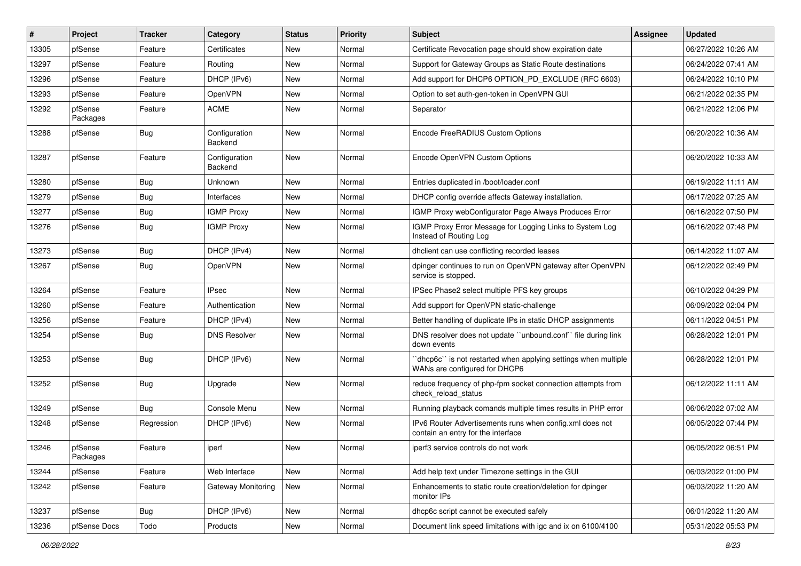| #     | Project             | <b>Tracker</b> | Category                 | <b>Status</b> | <b>Priority</b> | Subject                                                                                          | <b>Assignee</b> | <b>Updated</b>      |
|-------|---------------------|----------------|--------------------------|---------------|-----------------|--------------------------------------------------------------------------------------------------|-----------------|---------------------|
| 13305 | pfSense             | Feature        | Certificates             | <b>New</b>    | Normal          | Certificate Revocation page should show expiration date                                          |                 | 06/27/2022 10:26 AM |
| 13297 | pfSense             | Feature        | Routing                  | <b>New</b>    | Normal          | Support for Gateway Groups as Static Route destinations                                          |                 | 06/24/2022 07:41 AM |
| 13296 | pfSense             | Feature        | DHCP (IPv6)              | <b>New</b>    | Normal          | Add support for DHCP6 OPTION_PD_EXCLUDE (RFC 6603)                                               |                 | 06/24/2022 10:10 PM |
| 13293 | pfSense             | Feature        | OpenVPN                  | New           | Normal          | Option to set auth-gen-token in OpenVPN GUI                                                      |                 | 06/21/2022 02:35 PM |
| 13292 | pfSense<br>Packages | Feature        | <b>ACME</b>              | <b>New</b>    | Normal          | Separator                                                                                        |                 | 06/21/2022 12:06 PM |
| 13288 | pfSense             | Bug            | Configuration<br>Backend | <b>New</b>    | Normal          | Encode FreeRADIUS Custom Options                                                                 |                 | 06/20/2022 10:36 AM |
| 13287 | pfSense             | Feature        | Configuration<br>Backend | <b>New</b>    | Normal          | Encode OpenVPN Custom Options                                                                    |                 | 06/20/2022 10:33 AM |
| 13280 | pfSense             | Bug            | Unknown                  | <b>New</b>    | Normal          | Entries duplicated in /boot/loader.conf                                                          |                 | 06/19/2022 11:11 AM |
| 13279 | pfSense             | <b>Bug</b>     | Interfaces               | <b>New</b>    | Normal          | DHCP config override affects Gateway installation.                                               |                 | 06/17/2022 07:25 AM |
| 13277 | pfSense             | Bug            | <b>IGMP Proxy</b>        | <b>New</b>    | Normal          | IGMP Proxy webConfigurator Page Always Produces Error                                            |                 | 06/16/2022 07:50 PM |
| 13276 | pfSense             | Bug            | <b>IGMP Proxy</b>        | <b>New</b>    | Normal          | IGMP Proxy Error Message for Logging Links to System Log<br>Instead of Routing Log               |                 | 06/16/2022 07:48 PM |
| 13273 | pfSense             | <b>Bug</b>     | DHCP (IPv4)              | <b>New</b>    | Normal          | dhclient can use conflicting recorded leases                                                     |                 | 06/14/2022 11:07 AM |
| 13267 | pfSense             | Bug            | OpenVPN                  | New           | Normal          | dpinger continues to run on OpenVPN gateway after OpenVPN<br>service is stopped.                 |                 | 06/12/2022 02:49 PM |
| 13264 | pfSense             | Feature        | <b>IPsec</b>             | <b>New</b>    | Normal          | IPSec Phase2 select multiple PFS key groups                                                      |                 | 06/10/2022 04:29 PM |
| 13260 | pfSense             | Feature        | Authentication           | New           | Normal          | Add support for OpenVPN static-challenge                                                         |                 | 06/09/2022 02:04 PM |
| 13256 | pfSense             | Feature        | DHCP (IPv4)              | <b>New</b>    | Normal          | Better handling of duplicate IPs in static DHCP assignments                                      |                 | 06/11/2022 04:51 PM |
| 13254 | pfSense             | Bug            | <b>DNS Resolver</b>      | <b>New</b>    | Normal          | DNS resolver does not update "unbound.conf" file during link<br>down events                      |                 | 06/28/2022 12:01 PM |
| 13253 | pfSense             | Bug            | DHCP (IPv6)              | <b>New</b>    | Normal          | 'dhcp6c'' is not restarted when applying settings when multiple<br>WANs are configured for DHCP6 |                 | 06/28/2022 12:01 PM |
| 13252 | pfSense             | Bug            | Upgrade                  | <b>New</b>    | Normal          | reduce frequency of php-fpm socket connection attempts from<br>check_reload_status               |                 | 06/12/2022 11:11 AM |
| 13249 | pfSense             | Bug            | Console Menu             | <b>New</b>    | Normal          | Running playback comands multiple times results in PHP error                                     |                 | 06/06/2022 07:02 AM |
| 13248 | pfSense             | Regression     | DHCP (IPv6)              | <b>New</b>    | Normal          | IPv6 Router Advertisements runs when config.xml does not<br>contain an entry for the interface   |                 | 06/05/2022 07:44 PM |
| 13246 | pfSense<br>Packages | Feature        | iperf                    | <b>New</b>    | Normal          | iperf3 service controls do not work                                                              |                 | 06/05/2022 06:51 PM |
| 13244 | pfSense             | Feature        | Web Interface            | New           | Normal          | Add help text under Timezone settings in the GUI                                                 |                 | 06/03/2022 01:00 PM |
| 13242 | pfSense             | Feature        | Gateway Monitoring       | New           | Normal          | Enhancements to static route creation/deletion for dpinger<br>monitor IPs                        |                 | 06/03/2022 11:20 AM |
| 13237 | pfSense             | Bug            | DHCP (IPv6)              | New           | Normal          | dhcp6c script cannot be executed safely                                                          |                 | 06/01/2022 11:20 AM |
| 13236 | pfSense Docs        | Todo           | Products                 | New           | Normal          | Document link speed limitations with igc and ix on 6100/4100                                     |                 | 05/31/2022 05:53 PM |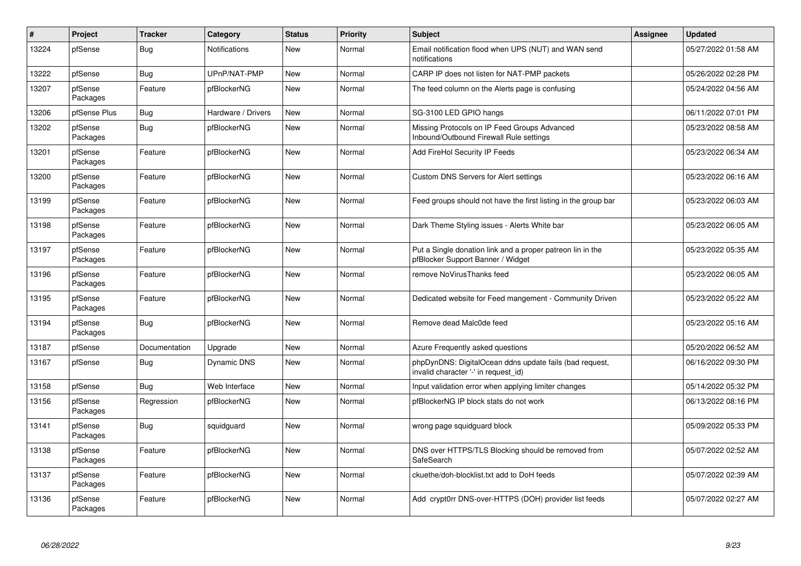| $\vert$ # | Project             | <b>Tracker</b> | Category             | <b>Status</b> | <b>Priority</b> | <b>Subject</b>                                                                                  | Assignee | <b>Updated</b>      |
|-----------|---------------------|----------------|----------------------|---------------|-----------------|-------------------------------------------------------------------------------------------------|----------|---------------------|
| 13224     | pfSense             | <b>Bug</b>     | <b>Notifications</b> | <b>New</b>    | Normal          | Email notification flood when UPS (NUT) and WAN send<br>notifications                           |          | 05/27/2022 01:58 AM |
| 13222     | pfSense             | Bug            | UPnP/NAT-PMP         | New           | Normal          | CARP IP does not listen for NAT-PMP packets                                                     |          | 05/26/2022 02:28 PM |
| 13207     | pfSense<br>Packages | Feature        | pfBlockerNG          | <b>New</b>    | Normal          | The feed column on the Alerts page is confusing                                                 |          | 05/24/2022 04:56 AM |
| 13206     | pfSense Plus        | Bug            | Hardware / Drivers   | <b>New</b>    | Normal          | SG-3100 LED GPIO hangs                                                                          |          | 06/11/2022 07:01 PM |
| 13202     | pfSense<br>Packages | Bug            | pfBlockerNG          | <b>New</b>    | Normal          | Missing Protocols on IP Feed Groups Advanced<br>Inbound/Outbound Firewall Rule settings         |          | 05/23/2022 08:58 AM |
| 13201     | pfSense<br>Packages | Feature        | pfBlockerNG          | <b>New</b>    | Normal          | Add FireHol Security IP Feeds                                                                   |          | 05/23/2022 06:34 AM |
| 13200     | pfSense<br>Packages | Feature        | pfBlockerNG          | <b>New</b>    | Normal          | Custom DNS Servers for Alert settings                                                           |          | 05/23/2022 06:16 AM |
| 13199     | pfSense<br>Packages | Feature        | pfBlockerNG          | New           | Normal          | Feed groups should not have the first listing in the group bar                                  |          | 05/23/2022 06:03 AM |
| 13198     | pfSense<br>Packages | Feature        | pfBlockerNG          | <b>New</b>    | Normal          | Dark Theme Styling issues - Alerts White bar                                                    |          | 05/23/2022 06:05 AM |
| 13197     | pfSense<br>Packages | Feature        | pfBlockerNG          | <b>New</b>    | Normal          | Put a Single donation link and a proper patreon lin in the<br>pfBlocker Support Banner / Widget |          | 05/23/2022 05:35 AM |
| 13196     | pfSense<br>Packages | Feature        | pfBlockerNG          | New           | Normal          | remove NoVirusThanks feed                                                                       |          | 05/23/2022 06:05 AM |
| 13195     | pfSense<br>Packages | Feature        | pfBlockerNG          | New           | Normal          | Dedicated website for Feed mangement - Community Driven                                         |          | 05/23/2022 05:22 AM |
| 13194     | pfSense<br>Packages | Bug            | pfBlockerNG          | New           | Normal          | Remove dead Malc0de feed                                                                        |          | 05/23/2022 05:16 AM |
| 13187     | pfSense             | Documentation  | Upgrade              | <b>New</b>    | Normal          | Azure Frequently asked questions                                                                |          | 05/20/2022 06:52 AM |
| 13167     | pfSense             | Bug            | <b>Dynamic DNS</b>   | <b>New</b>    | Normal          | phpDynDNS: DigitalOcean ddns update fails (bad request,<br>invalid character '-' in request id) |          | 06/16/2022 09:30 PM |
| 13158     | pfSense             | Bug            | Web Interface        | <b>New</b>    | Normal          | Input validation error when applying limiter changes                                            |          | 05/14/2022 05:32 PM |
| 13156     | pfSense<br>Packages | Regression     | pfBlockerNG          | New           | Normal          | pfBlockerNG IP block stats do not work                                                          |          | 06/13/2022 08:16 PM |
| 13141     | pfSense<br>Packages | Bug            | squidguard           | <b>New</b>    | Normal          | wrong page squidguard block                                                                     |          | 05/09/2022 05:33 PM |
| 13138     | pfSense<br>Packages | Feature        | pfBlockerNG          | <b>New</b>    | Normal          | DNS over HTTPS/TLS Blocking should be removed from<br>SafeSearch                                |          | 05/07/2022 02:52 AM |
| 13137     | pfSense<br>Packages | Feature        | pfBlockerNG          | <b>New</b>    | Normal          | ckuethe/doh-blocklist.txt add to DoH feeds                                                      |          | 05/07/2022 02:39 AM |
| 13136     | pfSense<br>Packages | Feature        | pfBlockerNG          | <b>New</b>    | Normal          | Add crypt0rr DNS-over-HTTPS (DOH) provider list feeds                                           |          | 05/07/2022 02:27 AM |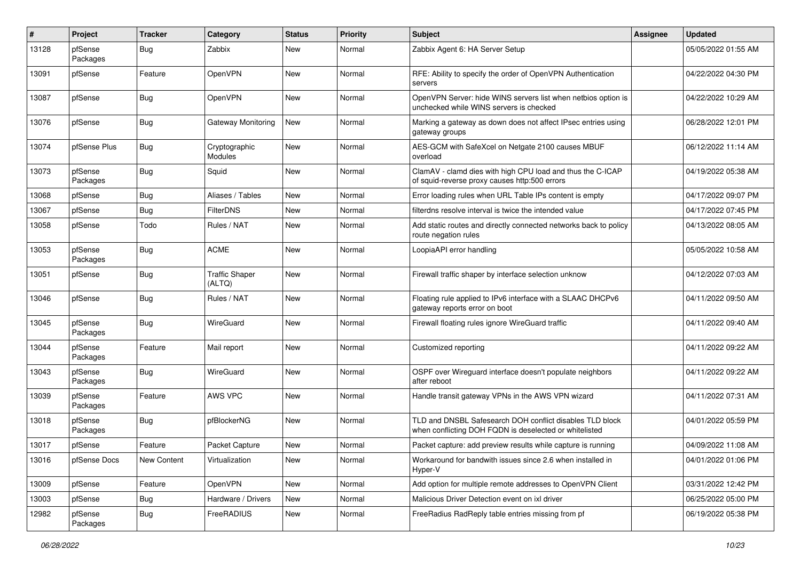| #     | Project             | <b>Tracker</b> | Category                        | <b>Status</b> | <b>Priority</b> | <b>Subject</b>                                                                                                     | Assignee | <b>Updated</b>      |
|-------|---------------------|----------------|---------------------------------|---------------|-----------------|--------------------------------------------------------------------------------------------------------------------|----------|---------------------|
| 13128 | pfSense<br>Packages | Bug            | Zabbix                          | New           | Normal          | Zabbix Agent 6: HA Server Setup                                                                                    |          | 05/05/2022 01:55 AM |
| 13091 | pfSense             | Feature        | OpenVPN                         | New           | Normal          | RFE: Ability to specify the order of OpenVPN Authentication<br>servers                                             |          | 04/22/2022 04:30 PM |
| 13087 | pfSense             | Bug            | OpenVPN                         | <b>New</b>    | Normal          | OpenVPN Server: hide WINS servers list when netbios option is<br>unchecked while WINS servers is checked           |          | 04/22/2022 10:29 AM |
| 13076 | pfSense             | Bug            | Gateway Monitoring              | New           | Normal          | Marking a gateway as down does not affect IPsec entries using<br>gateway groups                                    |          | 06/28/2022 12:01 PM |
| 13074 | pfSense Plus        | Bug            | Cryptographic<br>Modules        | <b>New</b>    | Normal          | AES-GCM with SafeXcel on Netgate 2100 causes MBUF<br>overload                                                      |          | 06/12/2022 11:14 AM |
| 13073 | pfSense<br>Packages | Bug            | Squid                           | New           | Normal          | ClamAV - clamd dies with high CPU load and thus the C-ICAP<br>of squid-reverse proxy causes http:500 errors        |          | 04/19/2022 05:38 AM |
| 13068 | pfSense             | <b>Bug</b>     | Aliases / Tables                | New           | Normal          | Error loading rules when URL Table IPs content is empty                                                            |          | 04/17/2022 09:07 PM |
| 13067 | pfSense             | Bug            | FilterDNS                       | New           | Normal          | filterdns resolve interval is twice the intended value                                                             |          | 04/17/2022 07:45 PM |
| 13058 | pfSense             | Todo           | Rules / NAT                     | New           | Normal          | Add static routes and directly connected networks back to policy<br>route negation rules                           |          | 04/13/2022 08:05 AM |
| 13053 | pfSense<br>Packages | Bug            | <b>ACME</b>                     | New           | Normal          | LoopiaAPI error handling                                                                                           |          | 05/05/2022 10:58 AM |
| 13051 | pfSense             | Bug            | <b>Traffic Shaper</b><br>(ALTQ) | New           | Normal          | Firewall traffic shaper by interface selection unknow                                                              |          | 04/12/2022 07:03 AM |
| 13046 | pfSense             | Bug            | Rules / NAT                     | New           | Normal          | Floating rule applied to IPv6 interface with a SLAAC DHCPv6<br>gateway reports error on boot                       |          | 04/11/2022 09:50 AM |
| 13045 | pfSense<br>Packages | Bug            | WireGuard                       | New           | Normal          | Firewall floating rules ignore WireGuard traffic                                                                   |          | 04/11/2022 09:40 AM |
| 13044 | pfSense<br>Packages | Feature        | Mail report                     | New           | Normal          | Customized reporting                                                                                               |          | 04/11/2022 09:22 AM |
| 13043 | pfSense<br>Packages | <b>Bug</b>     | WireGuard                       | <b>New</b>    | Normal          | OSPF over Wireguard interface doesn't populate neighbors<br>after reboot                                           |          | 04/11/2022 09:22 AM |
| 13039 | pfSense<br>Packages | Feature        | AWS VPC                         | New           | Normal          | Handle transit gateway VPNs in the AWS VPN wizard                                                                  |          | 04/11/2022 07:31 AM |
| 13018 | pfSense<br>Packages | Bug            | pfBlockerNG                     | New           | Normal          | TLD and DNSBL Safesearch DOH conflict disables TLD block<br>when conflicting DOH FQDN is deselected or whitelisted |          | 04/01/2022 05:59 PM |
| 13017 | pfSense             | Feature        | Packet Capture                  | New           | Normal          | Packet capture: add preview results while capture is running                                                       |          | 04/09/2022 11:08 AM |
| 13016 | pfSense Docs        | New Content    | Virtualization                  | New           | Normal          | Workaround for bandwith issues since 2.6 when installed in<br>Hyper-V                                              |          | 04/01/2022 01:06 PM |
| 13009 | pfSense             | Feature        | OpenVPN                         | New           | Normal          | Add option for multiple remote addresses to OpenVPN Client                                                         |          | 03/31/2022 12:42 PM |
| 13003 | pfSense             | <b>Bug</b>     | Hardware / Drivers              | New           | Normal          | Malicious Driver Detection event on ixl driver                                                                     |          | 06/25/2022 05:00 PM |
| 12982 | pfSense<br>Packages | <b>Bug</b>     | FreeRADIUS                      | New           | Normal          | FreeRadius RadReply table entries missing from pf                                                                  |          | 06/19/2022 05:38 PM |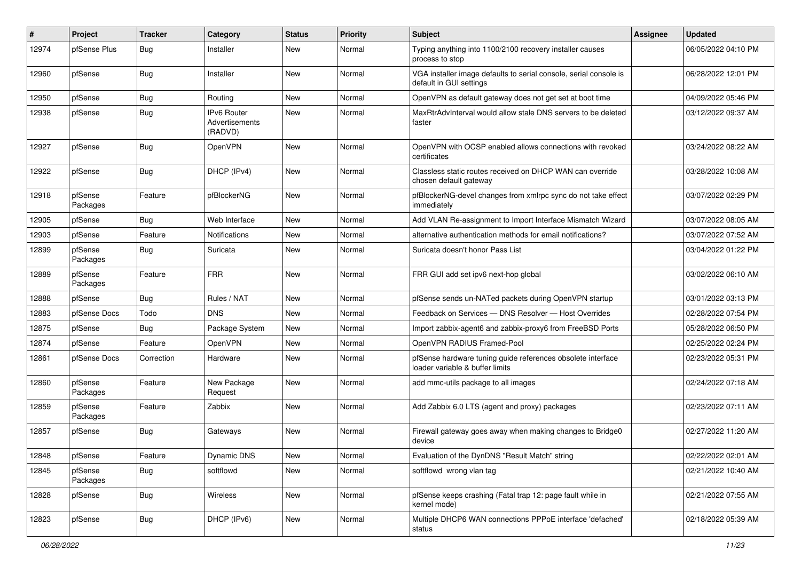| #     | Project             | <b>Tracker</b> | Category                                 | <b>Status</b> | <b>Priority</b> | <b>Subject</b>                                                                                 | <b>Assignee</b> | <b>Updated</b>      |
|-------|---------------------|----------------|------------------------------------------|---------------|-----------------|------------------------------------------------------------------------------------------------|-----------------|---------------------|
| 12974 | pfSense Plus        | <b>Bug</b>     | Installer                                | New           | Normal          | Typing anything into 1100/2100 recovery installer causes<br>process to stop                    |                 | 06/05/2022 04:10 PM |
| 12960 | pfSense             | Bug            | Installer                                | New           | Normal          | VGA installer image defaults to serial console, serial console is<br>default in GUI settings   |                 | 06/28/2022 12:01 PM |
| 12950 | pfSense             | <b>Bug</b>     | Routing                                  | <b>New</b>    | Normal          | OpenVPN as default gateway does not get set at boot time                                       |                 | 04/09/2022 05:46 PM |
| 12938 | pfSense             | <b>Bug</b>     | IPv6 Router<br>Advertisements<br>(RADVD) | New           | Normal          | MaxRtrAdvInterval would allow stale DNS servers to be deleted<br>faster                        |                 | 03/12/2022 09:37 AM |
| 12927 | pfSense             | <b>Bug</b>     | <b>OpenVPN</b>                           | <b>New</b>    | Normal          | OpenVPN with OCSP enabled allows connections with revoked<br>certificates                      |                 | 03/24/2022 08:22 AM |
| 12922 | pfSense             | <b>Bug</b>     | DHCP (IPv4)                              | New           | Normal          | Classless static routes received on DHCP WAN can override<br>chosen default gateway            |                 | 03/28/2022 10:08 AM |
| 12918 | pfSense<br>Packages | Feature        | pfBlockerNG                              | New           | Normal          | pfBlockerNG-devel changes from xmlrpc sync do not take effect<br>immediately                   |                 | 03/07/2022 02:29 PM |
| 12905 | pfSense             | <b>Bug</b>     | Web Interface                            | <b>New</b>    | Normal          | Add VLAN Re-assignment to Import Interface Mismatch Wizard                                     |                 | 03/07/2022 08:05 AM |
| 12903 | pfSense             | Feature        | Notifications                            | <b>New</b>    | Normal          | alternative authentication methods for email notifications?                                    |                 | 03/07/2022 07:52 AM |
| 12899 | pfSense<br>Packages | Bug            | Suricata                                 | New           | Normal          | Suricata doesn't honor Pass List                                                               |                 | 03/04/2022 01:22 PM |
| 12889 | pfSense<br>Packages | Feature        | <b>FRR</b>                               | <b>New</b>    | Normal          | FRR GUI add set ipv6 next-hop global                                                           |                 | 03/02/2022 06:10 AM |
| 12888 | pfSense             | <b>Bug</b>     | Rules / NAT                              | <b>New</b>    | Normal          | pfSense sends un-NATed packets during OpenVPN startup                                          |                 | 03/01/2022 03:13 PM |
| 12883 | pfSense Docs        | Todo           | <b>DNS</b>                               | New           | Normal          | Feedback on Services - DNS Resolver - Host Overrides                                           |                 | 02/28/2022 07:54 PM |
| 12875 | pfSense             | <b>Bug</b>     | Package System                           | New           | Normal          | Import zabbix-agent6 and zabbix-proxy6 from FreeBSD Ports                                      |                 | 05/28/2022 06:50 PM |
| 12874 | pfSense             | Feature        | OpenVPN                                  | <b>New</b>    | Normal          | OpenVPN RADIUS Framed-Pool                                                                     |                 | 02/25/2022 02:24 PM |
| 12861 | pfSense Docs        | Correction     | Hardware                                 | <b>New</b>    | Normal          | pfSense hardware tuning guide references obsolete interface<br>loader variable & buffer limits |                 | 02/23/2022 05:31 PM |
| 12860 | pfSense<br>Packages | Feature        | New Package<br>Request                   | New           | Normal          | add mmc-utils package to all images                                                            |                 | 02/24/2022 07:18 AM |
| 12859 | pfSense<br>Packages | Feature        | Zabbix                                   | <b>New</b>    | Normal          | Add Zabbix 6.0 LTS (agent and proxy) packages                                                  |                 | 02/23/2022 07:11 AM |
| 12857 | pfSense             | Bug            | Gateways                                 | <b>New</b>    | Normal          | Firewall gateway goes away when making changes to Bridge0<br>device                            |                 | 02/27/2022 11:20 AM |
| 12848 | pfSense             | Feature        | <b>Dynamic DNS</b>                       | New           | Normal          | Evaluation of the DynDNS "Result Match" string                                                 |                 | 02/22/2022 02:01 AM |
| 12845 | pfSense<br>Packages | <b>Bug</b>     | softflowd                                | New           | Normal          | softflowd wrong vlan tag                                                                       |                 | 02/21/2022 10:40 AM |
| 12828 | pfSense             | <b>Bug</b>     | Wireless                                 | New           | Normal          | pfSense keeps crashing (Fatal trap 12: page fault while in<br>kernel mode)                     |                 | 02/21/2022 07:55 AM |
| 12823 | pfSense             | <b>Bug</b>     | DHCP (IPv6)                              | New           | Normal          | Multiple DHCP6 WAN connections PPPoE interface 'defached'<br>status                            |                 | 02/18/2022 05:39 AM |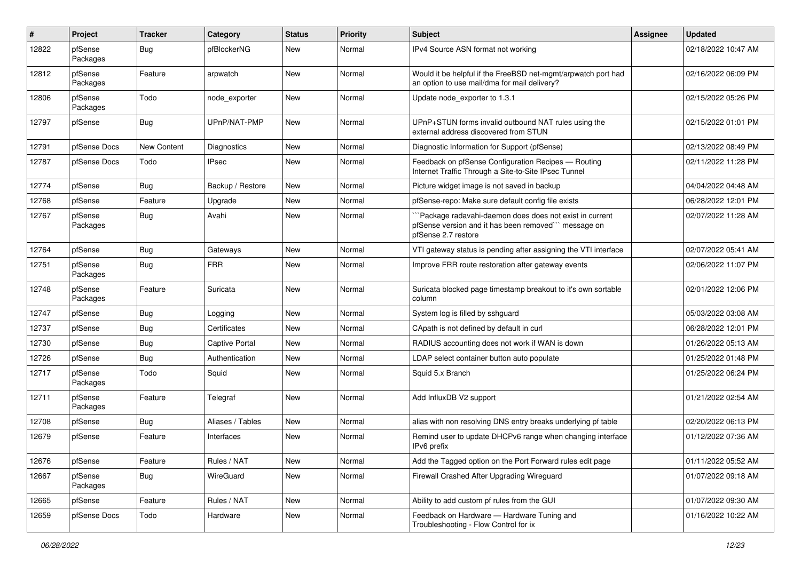| #     | Project             | <b>Tracker</b> | Category              | <b>Status</b> | <b>Priority</b> | <b>Subject</b>                                                                                                                        | Assignee | <b>Updated</b>      |
|-------|---------------------|----------------|-----------------------|---------------|-----------------|---------------------------------------------------------------------------------------------------------------------------------------|----------|---------------------|
| 12822 | pfSense<br>Packages | Bug            | pfBlockerNG           | New           | Normal          | IPv4 Source ASN format not working                                                                                                    |          | 02/18/2022 10:47 AM |
| 12812 | pfSense<br>Packages | Feature        | arpwatch              | New           | Normal          | Would it be helpful if the FreeBSD net-mgmt/arpwatch port had<br>an option to use mail/dma for mail delivery?                         |          | 02/16/2022 06:09 PM |
| 12806 | pfSense<br>Packages | Todo           | node exporter         | <b>New</b>    | Normal          | Update node_exporter to 1.3.1                                                                                                         |          | 02/15/2022 05:26 PM |
| 12797 | pfSense             | Bug            | UPnP/NAT-PMP          | New           | Normal          | UPnP+STUN forms invalid outbound NAT rules using the<br>external address discovered from STUN                                         |          | 02/15/2022 01:01 PM |
| 12791 | pfSense Docs        | New Content    | Diagnostics           | <b>New</b>    | Normal          | Diagnostic Information for Support (pfSense)                                                                                          |          | 02/13/2022 08:49 PM |
| 12787 | pfSense Docs        | Todo           | <b>IPsec</b>          | New           | Normal          | Feedback on pfSense Configuration Recipes - Routing<br>Internet Traffic Through a Site-to-Site IPsec Tunnel                           |          | 02/11/2022 11:28 PM |
| 12774 | pfSense             | <b>Bug</b>     | Backup / Restore      | New           | Normal          | Picture widget image is not saved in backup                                                                                           |          | 04/04/2022 04:48 AM |
| 12768 | pfSense             | Feature        | Upgrade               | <b>New</b>    | Normal          | pfSense-repo: Make sure default config file exists                                                                                    |          | 06/28/2022 12:01 PM |
| 12767 | pfSense<br>Packages | <b>Bug</b>     | Avahi                 | New           | Normal          | `Package radavahi-daemon does does not exist in current<br>pfSense version and it has been removed" message on<br>pfSense 2.7 restore |          | 02/07/2022 11:28 AM |
| 12764 | pfSense             | Bug            | Gateways              | New           | Normal          | VTI gateway status is pending after assigning the VTI interface                                                                       |          | 02/07/2022 05:41 AM |
| 12751 | pfSense<br>Packages | <b>Bug</b>     | <b>FRR</b>            | New           | Normal          | Improve FRR route restoration after gateway events                                                                                    |          | 02/06/2022 11:07 PM |
| 12748 | pfSense<br>Packages | Feature        | Suricata              | New           | Normal          | Suricata blocked page timestamp breakout to it's own sortable<br>column                                                               |          | 02/01/2022 12:06 PM |
| 12747 | pfSense             | Bug            | Logging               | New           | Normal          | System log is filled by sshguard                                                                                                      |          | 05/03/2022 03:08 AM |
| 12737 | pfSense             | <b>Bug</b>     | Certificates          | New           | Normal          | CApath is not defined by default in curl                                                                                              |          | 06/28/2022 12:01 PM |
| 12730 | pfSense             | <b>Bug</b>     | <b>Captive Portal</b> | <b>New</b>    | Normal          | RADIUS accounting does not work if WAN is down                                                                                        |          | 01/26/2022 05:13 AM |
| 12726 | pfSense             | <b>Bug</b>     | Authentication        | New           | Normal          | LDAP select container button auto populate                                                                                            |          | 01/25/2022 01:48 PM |
| 12717 | pfSense<br>Packages | Todo           | Squid                 | New           | Normal          | Squid 5.x Branch                                                                                                                      |          | 01/25/2022 06:24 PM |
| 12711 | pfSense<br>Packages | Feature        | Telegraf              | New           | Normal          | Add InfluxDB V2 support                                                                                                               |          | 01/21/2022 02:54 AM |
| 12708 | pfSense             | Bug            | Aliases / Tables      | New           | Normal          | alias with non resolving DNS entry breaks underlying pf table                                                                         |          | 02/20/2022 06:13 PM |
| 12679 | pfSense             | Feature        | Interfaces            | New           | Normal          | Remind user to update DHCPv6 range when changing interface<br>IPv6 prefix                                                             |          | 01/12/2022 07:36 AM |
| 12676 | pfSense             | Feature        | Rules / NAT           | New           | Normal          | Add the Tagged option on the Port Forward rules edit page                                                                             |          | 01/11/2022 05:52 AM |
| 12667 | pfSense<br>Packages | Bug            | WireGuard             | New           | Normal          | Firewall Crashed After Upgrading Wireguard                                                                                            |          | 01/07/2022 09:18 AM |
| 12665 | pfSense             | Feature        | Rules / NAT           | New           | Normal          | Ability to add custom pf rules from the GUI                                                                                           |          | 01/07/2022 09:30 AM |
| 12659 | pfSense Docs        | Todo           | Hardware              | New           | Normal          | Feedback on Hardware - Hardware Tuning and<br>Troubleshooting - Flow Control for ix                                                   |          | 01/16/2022 10:22 AM |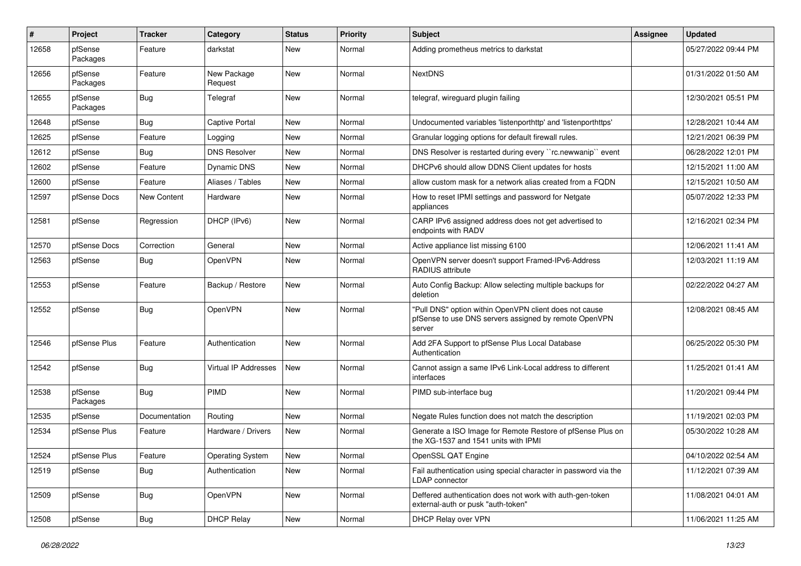| #     | Project             | <b>Tracker</b> | Category                | <b>Status</b> | <b>Priority</b> | <b>Subject</b>                                                                                                            | <b>Assignee</b> | <b>Updated</b>      |
|-------|---------------------|----------------|-------------------------|---------------|-----------------|---------------------------------------------------------------------------------------------------------------------------|-----------------|---------------------|
| 12658 | pfSense<br>Packages | Feature        | darkstat                | <b>New</b>    | Normal          | Adding prometheus metrics to darkstat                                                                                     |                 | 05/27/2022 09:44 PM |
| 12656 | pfSense<br>Packages | Feature        | New Package<br>Request  | <b>New</b>    | Normal          | <b>NextDNS</b>                                                                                                            |                 | 01/31/2022 01:50 AM |
| 12655 | pfSense<br>Packages | <b>Bug</b>     | Telegraf                | <b>New</b>    | Normal          | telegraf, wireguard plugin failing                                                                                        |                 | 12/30/2021 05:51 PM |
| 12648 | pfSense             | Bug            | Captive Portal          | <b>New</b>    | Normal          | Undocumented variables 'listenporthttp' and 'listenporthttps'                                                             |                 | 12/28/2021 10:44 AM |
| 12625 | pfSense             | Feature        | Logging                 | New           | Normal          | Granular logging options for default firewall rules.                                                                      |                 | 12/21/2021 06:39 PM |
| 12612 | pfSense             | Bug            | <b>DNS Resolver</b>     | New           | Normal          | DNS Resolver is restarted during every "rc.newwanip" event                                                                |                 | 06/28/2022 12:01 PM |
| 12602 | pfSense             | Feature        | Dynamic DNS             | <b>New</b>    | Normal          | DHCPv6 should allow DDNS Client updates for hosts                                                                         |                 | 12/15/2021 11:00 AM |
| 12600 | pfSense             | Feature        | Aliases / Tables        | New           | Normal          | allow custom mask for a network alias created from a FQDN                                                                 |                 | 12/15/2021 10:50 AM |
| 12597 | pfSense Docs        | New Content    | Hardware                | New           | Normal          | How to reset IPMI settings and password for Netgate<br>appliances                                                         |                 | 05/07/2022 12:33 PM |
| 12581 | pfSense             | Regression     | DHCP (IPv6)             | New           | Normal          | CARP IPv6 assigned address does not get advertised to<br>endpoints with RADV                                              |                 | 12/16/2021 02:34 PM |
| 12570 | pfSense Docs        | Correction     | General                 | <b>New</b>    | Normal          | Active appliance list missing 6100                                                                                        |                 | 12/06/2021 11:41 AM |
| 12563 | pfSense             | Bug            | OpenVPN                 | New           | Normal          | OpenVPN server doesn't support Framed-IPv6-Address<br>RADIUS attribute                                                    |                 | 12/03/2021 11:19 AM |
| 12553 | pfSense             | Feature        | Backup / Restore        | New           | Normal          | Auto Config Backup: Allow selecting multiple backups for<br>deletion                                                      |                 | 02/22/2022 04:27 AM |
| 12552 | pfSense             | Bug            | OpenVPN                 | <b>New</b>    | Normal          | "Pull DNS" option within OpenVPN client does not cause<br>pfSense to use DNS servers assigned by remote OpenVPN<br>server |                 | 12/08/2021 08:45 AM |
| 12546 | pfSense Plus        | Feature        | Authentication          | <b>New</b>    | Normal          | Add 2FA Support to pfSense Plus Local Database<br>Authentication                                                          |                 | 06/25/2022 05:30 PM |
| 12542 | pfSense             | Bug            | Virtual IP Addresses    | New           | Normal          | Cannot assign a same IPv6 Link-Local address to different<br>interfaces                                                   |                 | 11/25/2021 01:41 AM |
| 12538 | pfSense<br>Packages | Bug            | <b>PIMD</b>             | <b>New</b>    | Normal          | PIMD sub-interface bug                                                                                                    |                 | 11/20/2021 09:44 PM |
| 12535 | pfSense             | Documentation  | Routing                 | New           | Normal          | Negate Rules function does not match the description                                                                      |                 | 11/19/2021 02:03 PM |
| 12534 | pfSense Plus        | Feature        | Hardware / Drivers      | New           | Normal          | Generate a ISO Image for Remote Restore of pfSense Plus on<br>the XG-1537 and 1541 units with IPMI                        |                 | 05/30/2022 10:28 AM |
| 12524 | pfSense Plus        | Feature        | <b>Operating System</b> | New           | Normal          | OpenSSL QAT Engine                                                                                                        |                 | 04/10/2022 02:54 AM |
| 12519 | pfSense             | <b>Bug</b>     | Authentication          | New           | Normal          | Fail authentication using special character in password via the<br>LDAP connector                                         |                 | 11/12/2021 07:39 AM |
| 12509 | pfSense             | <b>Bug</b>     | OpenVPN                 | New           | Normal          | Deffered authentication does not work with auth-gen-token<br>external-auth or pusk "auth-token"                           |                 | 11/08/2021 04:01 AM |
| 12508 | pfSense             | <b>Bug</b>     | <b>DHCP Relay</b>       | New           | Normal          | DHCP Relay over VPN                                                                                                       |                 | 11/06/2021 11:25 AM |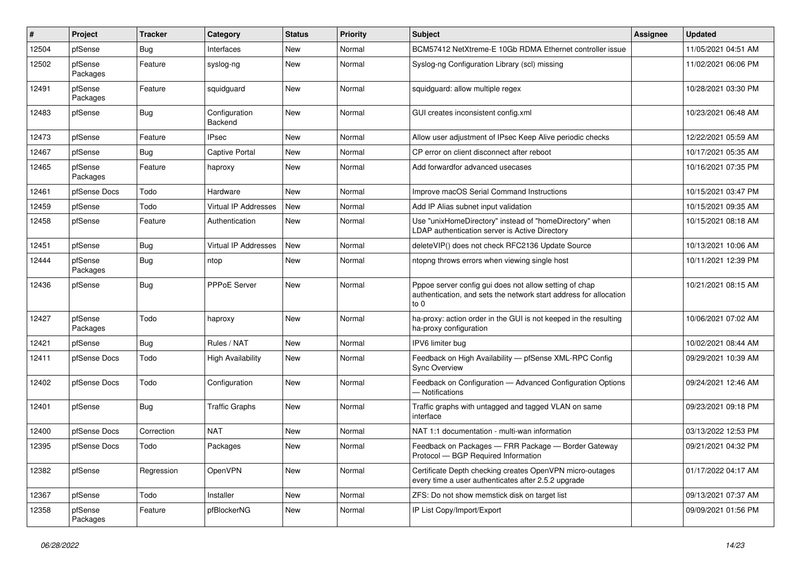| #     | Project             | <b>Tracker</b> | Category                 | <b>Status</b> | <b>Priority</b> | <b>Subject</b>                                                                                                                      | <b>Assignee</b> | <b>Updated</b>      |
|-------|---------------------|----------------|--------------------------|---------------|-----------------|-------------------------------------------------------------------------------------------------------------------------------------|-----------------|---------------------|
| 12504 | pfSense             | Bug            | Interfaces               | <b>New</b>    | Normal          | BCM57412 NetXtreme-E 10Gb RDMA Ethernet controller issue                                                                            |                 | 11/05/2021 04:51 AM |
| 12502 | pfSense<br>Packages | Feature        | syslog-ng                | New           | Normal          | Syslog-ng Configuration Library (scl) missing                                                                                       |                 | 11/02/2021 06:06 PM |
| 12491 | pfSense<br>Packages | Feature        | squidguard               | New           | Normal          | squidguard: allow multiple regex                                                                                                    |                 | 10/28/2021 03:30 PM |
| 12483 | pfSense             | Bug            | Configuration<br>Backend | <b>New</b>    | Normal          | GUI creates inconsistent config.xml                                                                                                 |                 | 10/23/2021 06:48 AM |
| 12473 | pfSense             | Feature        | <b>IPsec</b>             | <b>New</b>    | Normal          | Allow user adjustment of IPsec Keep Alive periodic checks                                                                           |                 | 12/22/2021 05:59 AM |
| 12467 | pfSense             | Bug            | <b>Captive Portal</b>    | New           | Normal          | CP error on client disconnect after reboot                                                                                          |                 | 10/17/2021 05:35 AM |
| 12465 | pfSense<br>Packages | Feature        | haproxy                  | New           | Normal          | Add forwardfor advanced usecases                                                                                                    |                 | 10/16/2021 07:35 PM |
| 12461 | pfSense Docs        | Todo           | Hardware                 | <b>New</b>    | Normal          | Improve macOS Serial Command Instructions                                                                                           |                 | 10/15/2021 03:47 PM |
| 12459 | pfSense             | Todo           | Virtual IP Addresses     | <b>New</b>    | Normal          | Add IP Alias subnet input validation                                                                                                |                 | 10/15/2021 09:35 AM |
| 12458 | pfSense             | Feature        | Authentication           | <b>New</b>    | Normal          | Use "unixHomeDirectory" instead of "homeDirectory" when<br>LDAP authentication server is Active Directory                           |                 | 10/15/2021 08:18 AM |
| 12451 | pfSense             | Bug            | Virtual IP Addresses     | <b>New</b>    | Normal          | deleteVIP() does not check RFC2136 Update Source                                                                                    |                 | 10/13/2021 10:06 AM |
| 12444 | pfSense<br>Packages | Bug            | ntop                     | New           | Normal          | ntopng throws errors when viewing single host                                                                                       |                 | 10/11/2021 12:39 PM |
| 12436 | pfSense             | Bug            | PPPoE Server             | New           | Normal          | Pppoe server config gui does not allow setting of chap<br>authentication, and sets the network start address for allocation<br>to 0 |                 | 10/21/2021 08:15 AM |
| 12427 | pfSense<br>Packages | Todo           | haproxy                  | New           | Normal          | ha-proxy: action order in the GUI is not keeped in the resulting<br>ha-proxy configuration                                          |                 | 10/06/2021 07:02 AM |
| 12421 | pfSense             | Bug            | Rules / NAT              | <b>New</b>    | Normal          | IPV6 limiter bug                                                                                                                    |                 | 10/02/2021 08:44 AM |
| 12411 | pfSense Docs        | Todo           | <b>High Availability</b> | New           | Normal          | Feedback on High Availability - pfSense XML-RPC Config<br><b>Sync Overview</b>                                                      |                 | 09/29/2021 10:39 AM |
| 12402 | pfSense Docs        | Todo           | Configuration            | <b>New</b>    | Normal          | Feedback on Configuration - Advanced Configuration Options<br>- Notifications                                                       |                 | 09/24/2021 12:46 AM |
| 12401 | pfSense             | Bug            | <b>Traffic Graphs</b>    | <b>New</b>    | Normal          | Traffic graphs with untagged and tagged VLAN on same<br>interface                                                                   |                 | 09/23/2021 09:18 PM |
| 12400 | pfSense Docs        | Correction     | <b>NAT</b>               | <b>New</b>    | Normal          | NAT 1:1 documentation - multi-wan information                                                                                       |                 | 03/13/2022 12:53 PM |
| 12395 | pfSense Docs        | Todo           | Packages                 | New           | Normal          | Feedback on Packages - FRR Package - Border Gateway<br>Protocol - BGP Required Information                                          |                 | 09/21/2021 04:32 PM |
| 12382 | pfSense             | Regression     | OpenVPN                  | <b>New</b>    | Normal          | Certificate Depth checking creates OpenVPN micro-outages<br>every time a user authenticates after 2.5.2 upgrade                     |                 | 01/17/2022 04:17 AM |
| 12367 | pfSense             | Todo           | Installer                | New           | Normal          | ZFS: Do not show memstick disk on target list                                                                                       |                 | 09/13/2021 07:37 AM |
| 12358 | pfSense<br>Packages | Feature        | pfBlockerNG              | New           | Normal          | IP List Copy/Import/Export                                                                                                          |                 | 09/09/2021 01:56 PM |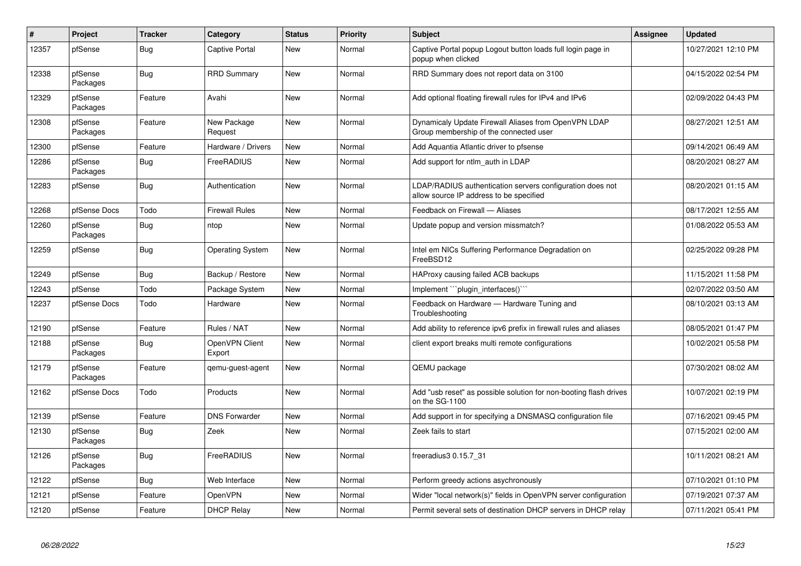| $\#$  | Project             | <b>Tracker</b> | Category                 | <b>Status</b> | <b>Priority</b> | <b>Subject</b>                                                                                       | Assignee | <b>Updated</b>      |
|-------|---------------------|----------------|--------------------------|---------------|-----------------|------------------------------------------------------------------------------------------------------|----------|---------------------|
| 12357 | pfSense             | <b>Bug</b>     | <b>Captive Portal</b>    | New           | Normal          | Captive Portal popup Logout button loads full login page in<br>popup when clicked                    |          | 10/27/2021 12:10 PM |
| 12338 | pfSense<br>Packages | <b>Bug</b>     | <b>RRD Summary</b>       | New           | Normal          | RRD Summary does not report data on 3100                                                             |          | 04/15/2022 02:54 PM |
| 12329 | pfSense<br>Packages | Feature        | Avahi                    | New           | Normal          | Add optional floating firewall rules for IPv4 and IPv6                                               |          | 02/09/2022 04:43 PM |
| 12308 | pfSense<br>Packages | Feature        | New Package<br>Request   | New           | Normal          | Dynamicaly Update Firewall Aliases from OpenVPN LDAP<br>Group membership of the connected user       |          | 08/27/2021 12:51 AM |
| 12300 | pfSense             | Feature        | Hardware / Drivers       | New           | Normal          | Add Aquantia Atlantic driver to pfsense                                                              |          | 09/14/2021 06:49 AM |
| 12286 | pfSense<br>Packages | <b>Bug</b>     | FreeRADIUS               | <b>New</b>    | Normal          | Add support for ntlm auth in LDAP                                                                    |          | 08/20/2021 08:27 AM |
| 12283 | pfSense             | <b>Bug</b>     | Authentication           | <b>New</b>    | Normal          | LDAP/RADIUS authentication servers configuration does not<br>allow source IP address to be specified |          | 08/20/2021 01:15 AM |
| 12268 | pfSense Docs        | Todo           | <b>Firewall Rules</b>    | New           | Normal          | Feedback on Firewall — Aliases                                                                       |          | 08/17/2021 12:55 AM |
| 12260 | pfSense<br>Packages | <b>Bug</b>     | ntop                     | New           | Normal          | Update popup and version missmatch?                                                                  |          | 01/08/2022 05:53 AM |
| 12259 | pfSense             | Bug            | <b>Operating System</b>  | New           | Normal          | Intel em NICs Suffering Performance Degradation on<br>FreeBSD12                                      |          | 02/25/2022 09:28 PM |
| 12249 | pfSense             | <b>Bug</b>     | Backup / Restore         | New           | Normal          | HAProxy causing failed ACB backups                                                                   |          | 11/15/2021 11:58 PM |
| 12243 | pfSense             | Todo           | Package System           | New           | Normal          | Implement ```plugin interfaces()``                                                                   |          | 02/07/2022 03:50 AM |
| 12237 | pfSense Docs        | Todo           | Hardware                 | New           | Normal          | Feedback on Hardware - Hardware Tuning and<br>Troubleshooting                                        |          | 08/10/2021 03:13 AM |
| 12190 | pfSense             | Feature        | Rules / NAT              | <b>New</b>    | Normal          | Add ability to reference ipv6 prefix in firewall rules and aliases                                   |          | 08/05/2021 01:47 PM |
| 12188 | pfSense<br>Packages | Bug            | OpenVPN Client<br>Export | New           | Normal          | client export breaks multi remote configurations                                                     |          | 10/02/2021 05:58 PM |
| 12179 | pfSense<br>Packages | Feature        | gemu-guest-agent         | New           | Normal          | QEMU package                                                                                         |          | 07/30/2021 08:02 AM |
| 12162 | pfSense Docs        | Todo           | Products                 | New           | Normal          | Add "usb reset" as possible solution for non-booting flash drives<br>on the SG-1100                  |          | 10/07/2021 02:19 PM |
| 12139 | pfSense             | Feature        | <b>DNS Forwarder</b>     | New           | Normal          | Add support in for specifying a DNSMASQ configuration file                                           |          | 07/16/2021 09:45 PM |
| 12130 | pfSense<br>Packages | Bug            | Zeek                     | New           | Normal          | Zeek fails to start                                                                                  |          | 07/15/2021 02:00 AM |
| 12126 | pfSense<br>Packages | <b>Bug</b>     | FreeRADIUS               | New           | Normal          | freeradius3 0.15.7 31                                                                                |          | 10/11/2021 08:21 AM |
| 12122 | pfSense             | Bug            | Web Interface            | New           | Normal          | Perform greedy actions asychronously                                                                 |          | 07/10/2021 01:10 PM |
| 12121 | pfSense             | Feature        | <b>OpenVPN</b>           | New           | Normal          | Wider "local network(s)" fields in OpenVPN server configuration                                      |          | 07/19/2021 07:37 AM |
| 12120 | pfSense             | Feature        | <b>DHCP Relay</b>        | <b>New</b>    | Normal          | Permit several sets of destination DHCP servers in DHCP relay                                        |          | 07/11/2021 05:41 PM |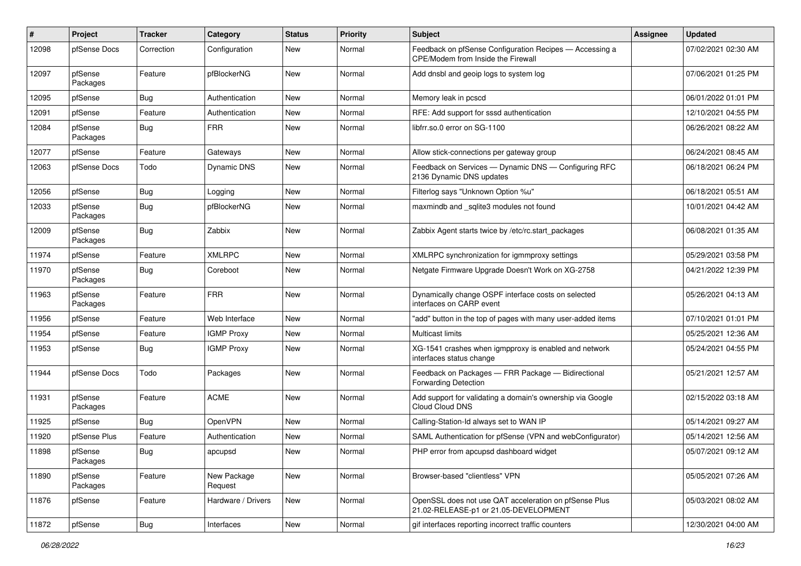| #     | Project             | <b>Tracker</b> | Category               | <b>Status</b> | <b>Priority</b> | Subject                                                                                        | Assignee | <b>Updated</b>      |
|-------|---------------------|----------------|------------------------|---------------|-----------------|------------------------------------------------------------------------------------------------|----------|---------------------|
| 12098 | pfSense Docs        | Correction     | Configuration          | New           | Normal          | Feedback on pfSense Configuration Recipes - Accessing a<br>CPE/Modem from Inside the Firewall  |          | 07/02/2021 02:30 AM |
| 12097 | pfSense<br>Packages | Feature        | pfBlockerNG            | New           | Normal          | Add dnsbl and geoip logs to system log                                                         |          | 07/06/2021 01:25 PM |
| 12095 | pfSense             | <b>Bug</b>     | Authentication         | <b>New</b>    | Normal          | Memory leak in pcscd                                                                           |          | 06/01/2022 01:01 PM |
| 12091 | pfSense             | Feature        | Authentication         | New           | Normal          | RFE: Add support for sssd authentication                                                       |          | 12/10/2021 04:55 PM |
| 12084 | pfSense<br>Packages | Bug            | <b>FRR</b>             | New           | Normal          | libfrr.so.0 error on SG-1100                                                                   |          | 06/26/2021 08:22 AM |
| 12077 | pfSense             | Feature        | Gateways               | <b>New</b>    | Normal          | Allow stick-connections per gateway group                                                      |          | 06/24/2021 08:45 AM |
| 12063 | pfSense Docs        | Todo           | Dynamic DNS            | New           | Normal          | Feedback on Services - Dynamic DNS - Configuring RFC<br>2136 Dynamic DNS updates               |          | 06/18/2021 06:24 PM |
| 12056 | pfSense             | <b>Bug</b>     | Logging                | <b>New</b>    | Normal          | Filterlog says "Unknown Option %u"                                                             |          | 06/18/2021 05:51 AM |
| 12033 | pfSense<br>Packages | Bug            | pfBlockerNG            | New           | Normal          | maxmindb and _sqlite3 modules not found                                                        |          | 10/01/2021 04:42 AM |
| 12009 | pfSense<br>Packages | Bug            | Zabbix                 | New           | Normal          | Zabbix Agent starts twice by /etc/rc.start_packages                                            |          | 06/08/2021 01:35 AM |
| 11974 | pfSense             | Feature        | <b>XMLRPC</b>          | New           | Normal          | XMLRPC synchronization for igmmproxy settings                                                  |          | 05/29/2021 03:58 PM |
| 11970 | pfSense<br>Packages | Bug            | Coreboot               | New           | Normal          | Netgate Firmware Upgrade Doesn't Work on XG-2758                                               |          | 04/21/2022 12:39 PM |
| 11963 | pfSense<br>Packages | Feature        | <b>FRR</b>             | New           | Normal          | Dynamically change OSPF interface costs on selected<br>interfaces on CARP event                |          | 05/26/2021 04:13 AM |
| 11956 | pfSense             | Feature        | Web Interface          | <b>New</b>    | Normal          | "add" button in the top of pages with many user-added items                                    |          | 07/10/2021 01:01 PM |
| 11954 | pfSense             | Feature        | <b>IGMP Proxy</b>      | <b>New</b>    | Normal          | Multicast limits                                                                               |          | 05/25/2021 12:36 AM |
| 11953 | pfSense             | Bug            | <b>IGMP Proxy</b>      | <b>New</b>    | Normal          | XG-1541 crashes when igmpproxy is enabled and network<br>interfaces status change              |          | 05/24/2021 04:55 PM |
| 11944 | pfSense Docs        | Todo           | Packages               | <b>New</b>    | Normal          | Feedback on Packages - FRR Package - Bidirectional<br><b>Forwarding Detection</b>              |          | 05/21/2021 12:57 AM |
| 11931 | pfSense<br>Packages | Feature        | <b>ACME</b>            | New           | Normal          | Add support for validating a domain's ownership via Google<br>Cloud Cloud DNS                  |          | 02/15/2022 03:18 AM |
| 11925 | pfSense             | Bug            | OpenVPN                | New           | Normal          | Calling-Station-Id always set to WAN IP                                                        |          | 05/14/2021 09:27 AM |
| 11920 | pfSense Plus        | Feature        | Authentication         | New           | Normal          | SAML Authentication for pfSense (VPN and webConfigurator)                                      |          | 05/14/2021 12:56 AM |
| 11898 | pfSense<br>Packages | <b>Bug</b>     | apcupsd                | New           | Normal          | PHP error from apcupsd dashboard widget                                                        |          | 05/07/2021 09:12 AM |
| 11890 | pfSense<br>Packages | Feature        | New Package<br>Request | New           | Normal          | Browser-based "clientless" VPN                                                                 |          | 05/05/2021 07:26 AM |
| 11876 | pfSense             | Feature        | Hardware / Drivers     | New           | Normal          | OpenSSL does not use QAT acceleration on pfSense Plus<br>21.02-RELEASE-p1 or 21.05-DEVELOPMENT |          | 05/03/2021 08:02 AM |
| 11872 | pfSense             | Bug            | Interfaces             | New           | Normal          | gif interfaces reporting incorrect traffic counters                                            |          | 12/30/2021 04:00 AM |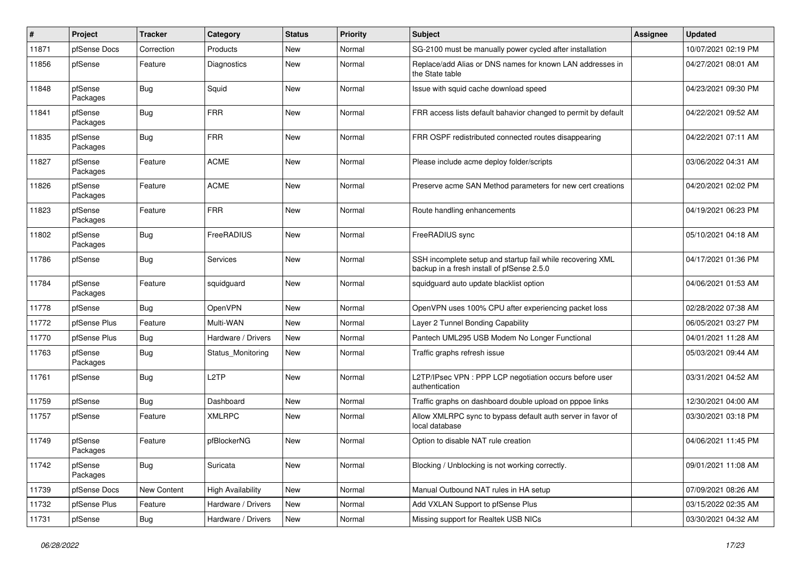| #     | Project             | <b>Tracker</b> | Category                 | <b>Status</b> | <b>Priority</b> | <b>Subject</b>                                                                                           | <b>Assignee</b> | <b>Updated</b>      |
|-------|---------------------|----------------|--------------------------|---------------|-----------------|----------------------------------------------------------------------------------------------------------|-----------------|---------------------|
| 11871 | pfSense Docs        | Correction     | Products                 | <b>New</b>    | Normal          | SG-2100 must be manually power cycled after installation                                                 |                 | 10/07/2021 02:19 PM |
| 11856 | pfSense             | Feature        | <b>Diagnostics</b>       | New           | Normal          | Replace/add Alias or DNS names for known LAN addresses in<br>the State table                             |                 | 04/27/2021 08:01 AM |
| 11848 | pfSense<br>Packages | Bug            | Squid                    | New           | Normal          | Issue with squid cache download speed                                                                    |                 | 04/23/2021 09:30 PM |
| 11841 | pfSense<br>Packages | Bug            | <b>FRR</b>               | New           | Normal          | FRR access lists default bahavior changed to permit by default                                           |                 | 04/22/2021 09:52 AM |
| 11835 | pfSense<br>Packages | <b>Bug</b>     | <b>FRR</b>               | <b>New</b>    | Normal          | FRR OSPF redistributed connected routes disappearing                                                     |                 | 04/22/2021 07:11 AM |
| 11827 | pfSense<br>Packages | Feature        | <b>ACME</b>              | New           | Normal          | Please include acme deploy folder/scripts                                                                |                 | 03/06/2022 04:31 AM |
| 11826 | pfSense<br>Packages | Feature        | <b>ACME</b>              | New           | Normal          | Preserve acme SAN Method parameters for new cert creations                                               |                 | 04/20/2021 02:02 PM |
| 11823 | pfSense<br>Packages | Feature        | <b>FRR</b>               | New           | Normal          | Route handling enhancements                                                                              |                 | 04/19/2021 06:23 PM |
| 11802 | pfSense<br>Packages | Bug            | FreeRADIUS               | <b>New</b>    | Normal          | FreeRADIUS sync                                                                                          |                 | 05/10/2021 04:18 AM |
| 11786 | pfSense             | Bug            | Services                 | New           | Normal          | SSH incomplete setup and startup fail while recovering XML<br>backup in a fresh install of pfSense 2.5.0 |                 | 04/17/2021 01:36 PM |
| 11784 | pfSense<br>Packages | Feature        | squidguard               | New           | Normal          | squidguard auto update blacklist option                                                                  |                 | 04/06/2021 01:53 AM |
| 11778 | pfSense             | Bug            | OpenVPN                  | New           | Normal          | OpenVPN uses 100% CPU after experiencing packet loss                                                     |                 | 02/28/2022 07:38 AM |
| 11772 | pfSense Plus        | Feature        | Multi-WAN                | New           | Normal          | Layer 2 Tunnel Bonding Capability                                                                        |                 | 06/05/2021 03:27 PM |
| 11770 | pfSense Plus        | <b>Bug</b>     | Hardware / Drivers       | <b>New</b>    | Normal          | Pantech UML295 USB Modem No Longer Functional                                                            |                 | 04/01/2021 11:28 AM |
| 11763 | pfSense<br>Packages | Bug            | Status_Monitoring        | New           | Normal          | Traffic graphs refresh issue                                                                             |                 | 05/03/2021 09:44 AM |
| 11761 | pfSense             | <b>Bug</b>     | L <sub>2</sub> TP        | <b>New</b>    | Normal          | L2TP/IPsec VPN : PPP LCP negotiation occurs before user<br>authentication                                |                 | 03/31/2021 04:52 AM |
| 11759 | pfSense             | Bug            | Dashboard                | New           | Normal          | Traffic graphs on dashboard double upload on pppoe links                                                 |                 | 12/30/2021 04:00 AM |
| 11757 | pfSense             | Feature        | <b>XMLRPC</b>            | New           | Normal          | Allow XMLRPC sync to bypass default auth server in favor of<br>local database                            |                 | 03/30/2021 03:18 PM |
| 11749 | pfSense<br>Packages | Feature        | pfBlockerNG              | <b>New</b>    | Normal          | Option to disable NAT rule creation                                                                      |                 | 04/06/2021 11:45 PM |
| 11742 | pfSense<br>Packages | <b>Bug</b>     | Suricata                 | New           | Normal          | Blocking / Unblocking is not working correctly.                                                          |                 | 09/01/2021 11:08 AM |
| 11739 | pfSense Docs        | New Content    | <b>High Availability</b> | New           | Normal          | Manual Outbound NAT rules in HA setup                                                                    |                 | 07/09/2021 08:26 AM |
| 11732 | pfSense Plus        | Feature        | Hardware / Drivers       | New           | Normal          | Add VXLAN Support to pfSense Plus                                                                        |                 | 03/15/2022 02:35 AM |
| 11731 | pfSense             | Bug            | Hardware / Drivers       | New           | Normal          | Missing support for Realtek USB NICs                                                                     |                 | 03/30/2021 04:32 AM |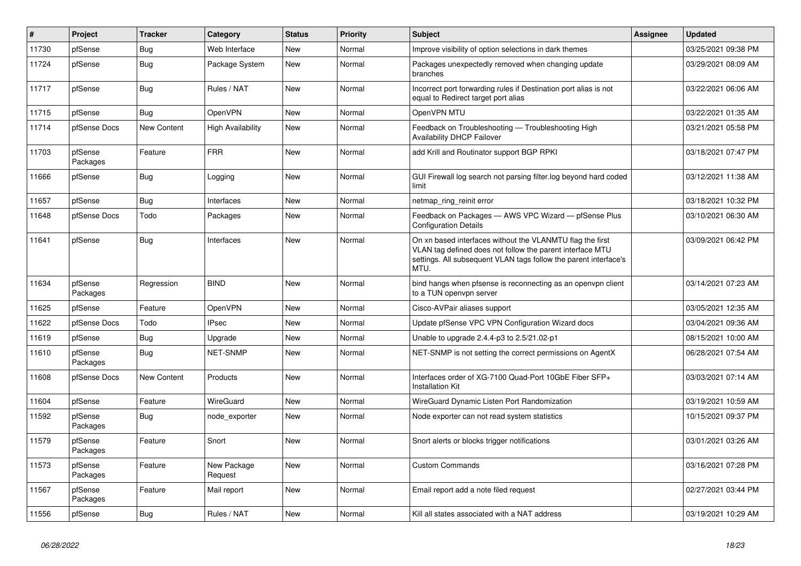| ∦     | Project             | <b>Tracker</b> | Category                 | <b>Status</b> | <b>Priority</b> | <b>Subject</b>                                                                                                                                                                                     | <b>Assignee</b> | <b>Updated</b>      |
|-------|---------------------|----------------|--------------------------|---------------|-----------------|----------------------------------------------------------------------------------------------------------------------------------------------------------------------------------------------------|-----------------|---------------------|
| 11730 | pfSense             | Bug            | Web Interface            | New           | Normal          | Improve visibility of option selections in dark themes                                                                                                                                             |                 | 03/25/2021 09:38 PM |
| 11724 | pfSense             | <b>Bug</b>     | Package System           | New           | Normal          | Packages unexpectedly removed when changing update<br>branches                                                                                                                                     |                 | 03/29/2021 08:09 AM |
| 11717 | pfSense             | <b>Bug</b>     | Rules / NAT              | New           | Normal          | Incorrect port forwarding rules if Destination port alias is not<br>equal to Redirect target port alias                                                                                            |                 | 03/22/2021 06:06 AM |
| 11715 | pfSense             | <b>Bug</b>     | <b>OpenVPN</b>           | New           | Normal          | OpenVPN MTU                                                                                                                                                                                        |                 | 03/22/2021 01:35 AM |
| 11714 | pfSense Docs        | New Content    | <b>High Availability</b> | New           | Normal          | Feedback on Troubleshooting - Troubleshooting High<br><b>Availability DHCP Failover</b>                                                                                                            |                 | 03/21/2021 05:58 PM |
| 11703 | pfSense<br>Packages | Feature        | <b>FRR</b>               | <b>New</b>    | Normal          | add Krill and Routinator support BGP RPKI                                                                                                                                                          |                 | 03/18/2021 07:47 PM |
| 11666 | pfSense             | Bug            | Logging                  | New           | Normal          | GUI Firewall log search not parsing filter.log beyond hard coded<br>limit                                                                                                                          |                 | 03/12/2021 11:38 AM |
| 11657 | pfSense             | <b>Bug</b>     | <b>Interfaces</b>        | New           | Normal          | netmap_ring_reinit error                                                                                                                                                                           |                 | 03/18/2021 10:32 PM |
| 11648 | pfSense Docs        | Todo           | Packages                 | New           | Normal          | Feedback on Packages - AWS VPC Wizard - pfSense Plus<br><b>Configuration Details</b>                                                                                                               |                 | 03/10/2021 06:30 AM |
| 11641 | pfSense             | <b>Bug</b>     | Interfaces               | New           | Normal          | On xn based interfaces without the VLANMTU flag the first<br>VLAN tag defined does not follow the parent interface MTU<br>settings. All subsequent VLAN tags follow the parent interface's<br>MTU. |                 | 03/09/2021 06:42 PM |
| 11634 | pfSense<br>Packages | Regression     | <b>BIND</b>              | New           | Normal          | bind hangs when pfsense is reconnecting as an openypn client<br>to a TUN openvpn server                                                                                                            |                 | 03/14/2021 07:23 AM |
| 11625 | pfSense             | Feature        | <b>OpenVPN</b>           | <b>New</b>    | Normal          | Cisco-AVPair aliases support                                                                                                                                                                       |                 | 03/05/2021 12:35 AM |
| 11622 | pfSense Docs        | Todo           | <b>IPsec</b>             | New           | Normal          | Update pfSense VPC VPN Configuration Wizard docs                                                                                                                                                   |                 | 03/04/2021 09:36 AM |
| 11619 | pfSense             | <b>Bug</b>     | Upgrade                  | New           | Normal          | Unable to upgrade 2.4.4-p3 to 2.5/21.02-p1                                                                                                                                                         |                 | 08/15/2021 10:00 AM |
| 11610 | pfSense<br>Packages | Bug            | <b>NET-SNMP</b>          | New           | Normal          | NET-SNMP is not setting the correct permissions on AgentX                                                                                                                                          |                 | 06/28/2021 07:54 AM |
| 11608 | pfSense Docs        | New Content    | Products                 | New           | Normal          | Interfaces order of XG-7100 Quad-Port 10GbE Fiber SFP+<br><b>Installation Kit</b>                                                                                                                  |                 | 03/03/2021 07:14 AM |
| 11604 | pfSense             | Feature        | WireGuard                | New           | Normal          | WireGuard Dynamic Listen Port Randomization                                                                                                                                                        |                 | 03/19/2021 10:59 AM |
| 11592 | pfSense<br>Packages | Bug            | node exporter            | New           | Normal          | Node exporter can not read system statistics                                                                                                                                                       |                 | 10/15/2021 09:37 PM |
| 11579 | pfSense<br>Packages | Feature        | Snort                    | New           | Normal          | Snort alerts or blocks trigger notifications                                                                                                                                                       |                 | 03/01/2021 03:26 AM |
| 11573 | pfSense<br>Packages | Feature        | New Package<br>Request   | <b>New</b>    | Normal          | <b>Custom Commands</b>                                                                                                                                                                             |                 | 03/16/2021 07:28 PM |
| 11567 | pfSense<br>Packages | Feature        | Mail report              | New           | Normal          | Email report add a note filed request                                                                                                                                                              |                 | 02/27/2021 03:44 PM |
| 11556 | pfSense             | <b>Bug</b>     | Rules / NAT              | New           | Normal          | Kill all states associated with a NAT address                                                                                                                                                      |                 | 03/19/2021 10:29 AM |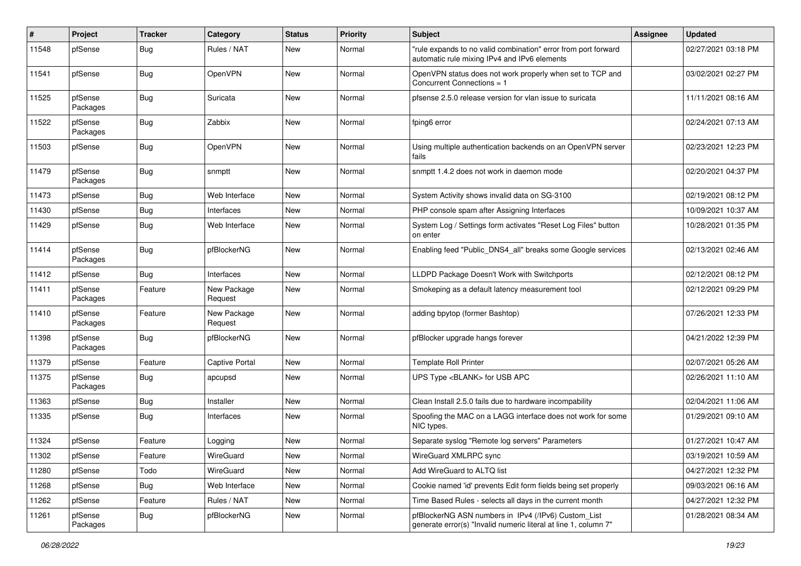| #     | Project             | <b>Tracker</b> | Category               | <b>Status</b> | Priority | <b>Subject</b>                                                                                                         | Assignee | <b>Updated</b>      |
|-------|---------------------|----------------|------------------------|---------------|----------|------------------------------------------------------------------------------------------------------------------------|----------|---------------------|
| 11548 | pfSense             | <b>Bug</b>     | Rules / NAT            | New           | Normal   | "rule expands to no valid combination" error from port forward<br>automatic rule mixing IPv4 and IPv6 elements         |          | 02/27/2021 03:18 PM |
| 11541 | pfSense             | Bug            | OpenVPN                | New           | Normal   | OpenVPN status does not work properly when set to TCP and<br>Concurrent Connections = 1                                |          | 03/02/2021 02:27 PM |
| 11525 | pfSense<br>Packages | <b>Bug</b>     | Suricata               | <b>New</b>    | Normal   | pfsense 2.5.0 release version for vlan issue to suricata                                                               |          | 11/11/2021 08:16 AM |
| 11522 | pfSense<br>Packages | <b>Bug</b>     | Zabbix                 | New           | Normal   | fping6 error                                                                                                           |          | 02/24/2021 07:13 AM |
| 11503 | pfSense             | Bug            | OpenVPN                | <b>New</b>    | Normal   | Using multiple authentication backends on an OpenVPN server<br>fails                                                   |          | 02/23/2021 12:23 PM |
| 11479 | pfSense<br>Packages | Bug            | snmptt                 | New           | Normal   | snmptt 1.4.2 does not work in daemon mode                                                                              |          | 02/20/2021 04:37 PM |
| 11473 | pfSense             | Bug            | Web Interface          | <b>New</b>    | Normal   | System Activity shows invalid data on SG-3100                                                                          |          | 02/19/2021 08:12 PM |
| 11430 | pfSense             | Bug            | Interfaces             | New           | Normal   | PHP console spam after Assigning Interfaces                                                                            |          | 10/09/2021 10:37 AM |
| 11429 | pfSense             | <b>Bug</b>     | Web Interface          | New           | Normal   | System Log / Settings form activates "Reset Log Files" button<br>on enter                                              |          | 10/28/2021 01:35 PM |
| 11414 | pfSense<br>Packages | Bug            | pfBlockerNG            | New           | Normal   | Enabling feed "Public_DNS4_all" breaks some Google services                                                            |          | 02/13/2021 02:46 AM |
| 11412 | pfSense             | <b>Bug</b>     | <b>Interfaces</b>      | <b>New</b>    | Normal   | LLDPD Package Doesn't Work with Switchports                                                                            |          | 02/12/2021 08:12 PM |
| 11411 | pfSense<br>Packages | Feature        | New Package<br>Request | <b>New</b>    | Normal   | Smokeping as a default latency measurement tool                                                                        |          | 02/12/2021 09:29 PM |
| 11410 | pfSense<br>Packages | Feature        | New Package<br>Request | <b>New</b>    | Normal   | adding bpytop (former Bashtop)                                                                                         |          | 07/26/2021 12:33 PM |
| 11398 | pfSense<br>Packages | <b>Bug</b>     | pfBlockerNG            | <b>New</b>    | Normal   | pfBlocker upgrade hangs forever                                                                                        |          | 04/21/2022 12:39 PM |
| 11379 | pfSense             | Feature        | <b>Captive Portal</b>  | New           | Normal   | <b>Template Roll Printer</b>                                                                                           |          | 02/07/2021 05:26 AM |
| 11375 | pfSense<br>Packages | Bug            | apcupsd                | New           | Normal   | UPS Type <blank> for USB APC</blank>                                                                                   |          | 02/26/2021 11:10 AM |
| 11363 | pfSense             | <b>Bug</b>     | Installer              | <b>New</b>    | Normal   | Clean Install 2.5.0 fails due to hardware incompability                                                                |          | 02/04/2021 11:06 AM |
| 11335 | pfSense             | <b>Bug</b>     | Interfaces             | New           | Normal   | Spoofing the MAC on a LAGG interface does not work for some<br>NIC types.                                              |          | 01/29/2021 09:10 AM |
| 11324 | pfSense             | Feature        | Logging                | New           | Normal   | Separate syslog "Remote log servers" Parameters                                                                        |          | 01/27/2021 10:47 AM |
| 11302 | pfSense             | Feature        | WireGuard              | New           | Normal   | WireGuard XMLRPC sync                                                                                                  |          | 03/19/2021 10:59 AM |
| 11280 | pfSense             | Todo           | WireGuard              | New           | Normal   | Add WireGuard to ALTQ list                                                                                             |          | 04/27/2021 12:32 PM |
| 11268 | pfSense             | Bug            | Web Interface          | <b>New</b>    | Normal   | Cookie named 'id' prevents Edit form fields being set properly                                                         |          | 09/03/2021 06:16 AM |
| 11262 | pfSense             | Feature        | Rules / NAT            | New           | Normal   | Time Based Rules - selects all days in the current month                                                               |          | 04/27/2021 12:32 PM |
| 11261 | pfSense<br>Packages | Bug            | pfBlockerNG            | New           | Normal   | pfBlockerNG ASN numbers in IPv4 (/IPv6) Custom_List<br>generate error(s) "Invalid numeric literal at line 1, column 7" |          | 01/28/2021 08:34 AM |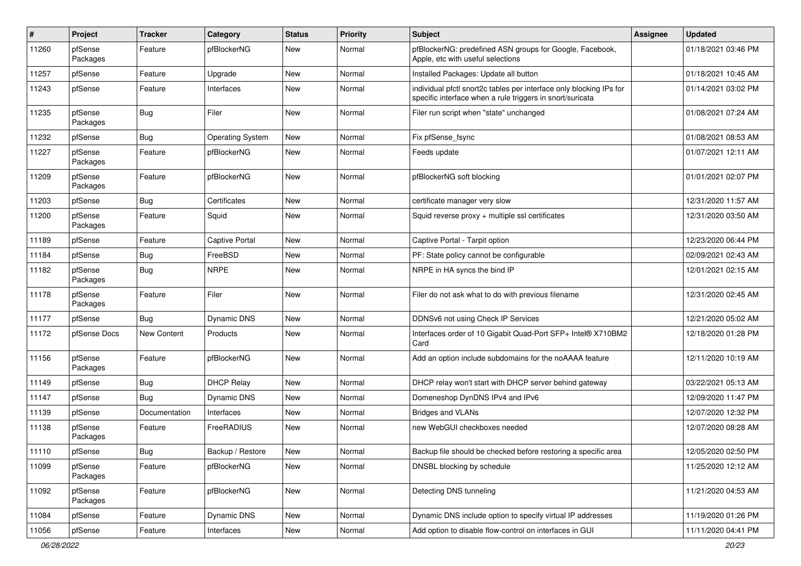| #     | Project             | <b>Tracker</b> | Category                | <b>Status</b> | <b>Priority</b> | Subject                                                                                                                          | <b>Assignee</b> | <b>Updated</b>      |
|-------|---------------------|----------------|-------------------------|---------------|-----------------|----------------------------------------------------------------------------------------------------------------------------------|-----------------|---------------------|
| 11260 | pfSense<br>Packages | Feature        | pfBlockerNG             | New           | Normal          | pfBlockerNG: predefined ASN groups for Google, Facebook,<br>Apple, etc with useful selections                                    |                 | 01/18/2021 03:46 PM |
| 11257 | pfSense             | Feature        | Upgrade                 | New           | Normal          | Installed Packages: Update all button                                                                                            |                 | 01/18/2021 10:45 AM |
| 11243 | pfSense             | Feature        | Interfaces              | New           | Normal          | individual pfctl snort2c tables per interface only blocking IPs for<br>specific interface when a rule triggers in snort/suricata |                 | 01/14/2021 03:02 PM |
| 11235 | pfSense<br>Packages | Bug            | Filer                   | New           | Normal          | Filer run script when "state" unchanged                                                                                          |                 | 01/08/2021 07:24 AM |
| 11232 | pfSense             | <b>Bug</b>     | <b>Operating System</b> | New           | Normal          | Fix pfSense fsync                                                                                                                |                 | 01/08/2021 08:53 AM |
| 11227 | pfSense<br>Packages | Feature        | pfBlockerNG             | New           | Normal          | Feeds update                                                                                                                     |                 | 01/07/2021 12:11 AM |
| 11209 | pfSense<br>Packages | Feature        | pfBlockerNG             | New           | Normal          | pfBlockerNG soft blocking                                                                                                        |                 | 01/01/2021 02:07 PM |
| 11203 | pfSense             | Bug            | Certificates            | <b>New</b>    | Normal          | certificate manager very slow                                                                                                    |                 | 12/31/2020 11:57 AM |
| 11200 | pfSense<br>Packages | Feature        | Squid                   | New           | Normal          | Squid reverse proxy + multiple ssl certificates                                                                                  |                 | 12/31/2020 03:50 AM |
| 11189 | pfSense             | Feature        | <b>Captive Portal</b>   | New           | Normal          | Captive Portal - Tarpit option                                                                                                   |                 | 12/23/2020 06:44 PM |
| 11184 | pfSense             | Bug            | FreeBSD                 | New           | Normal          | PF: State policy cannot be configurable                                                                                          |                 | 02/09/2021 02:43 AM |
| 11182 | pfSense<br>Packages | Bug            | <b>NRPE</b>             | New           | Normal          | NRPE in HA syncs the bind IP                                                                                                     |                 | 12/01/2021 02:15 AM |
| 11178 | pfSense<br>Packages | Feature        | Filer                   | New           | Normal          | Filer do not ask what to do with previous filename                                                                               |                 | 12/31/2020 02:45 AM |
| 11177 | pfSense             | Bug            | <b>Dynamic DNS</b>      | New           | Normal          | DDNSv6 not using Check IP Services                                                                                               |                 | 12/21/2020 05:02 AM |
| 11172 | pfSense Docs        | New Content    | Products                | New           | Normal          | Interfaces order of 10 Gigabit Quad-Port SFP+ Intel® X710BM2<br>Card                                                             |                 | 12/18/2020 01:28 PM |
| 11156 | pfSense<br>Packages | Feature        | pfBlockerNG             | New           | Normal          | Add an option include subdomains for the noAAAA feature                                                                          |                 | 12/11/2020 10:19 AM |
| 11149 | pfSense             | Bug            | <b>DHCP Relay</b>       | New           | Normal          | DHCP relay won't start with DHCP server behind gateway                                                                           |                 | 03/22/2021 05:13 AM |
| 11147 | pfSense             | Bug            | <b>Dynamic DNS</b>      | New           | Normal          | Domeneshop DynDNS IPv4 and IPv6                                                                                                  |                 | 12/09/2020 11:47 PM |
| 11139 | pfSense             | Documentation  | Interfaces              | New           | Normal          | <b>Bridges and VLANs</b>                                                                                                         |                 | 12/07/2020 12:32 PM |
| 11138 | pfSense<br>Packages | Feature        | FreeRADIUS              | New           | Normal          | new WebGUI checkboxes needed                                                                                                     |                 | 12/07/2020 08:28 AM |
| 11110 | pfSense             | i Bug          | Backup / Restore        | New           | Normal          | Backup file should be checked before restoring a specific area                                                                   |                 | 12/05/2020 02:50 PM |
| 11099 | pfSense<br>Packages | Feature        | pfBlockerNG             | New           | Normal          | DNSBL blocking by schedule                                                                                                       |                 | 11/25/2020 12:12 AM |
| 11092 | pfSense<br>Packages | Feature        | pfBlockerNG             | New           | Normal          | Detecting DNS tunneling                                                                                                          |                 | 11/21/2020 04:53 AM |
| 11084 | pfSense             | Feature        | Dynamic DNS             | <b>New</b>    | Normal          | Dynamic DNS include option to specify virtual IP addresses                                                                       |                 | 11/19/2020 01:26 PM |
| 11056 | pfSense             | Feature        | Interfaces              | New           | Normal          | Add option to disable flow-control on interfaces in GUI                                                                          |                 | 11/11/2020 04:41 PM |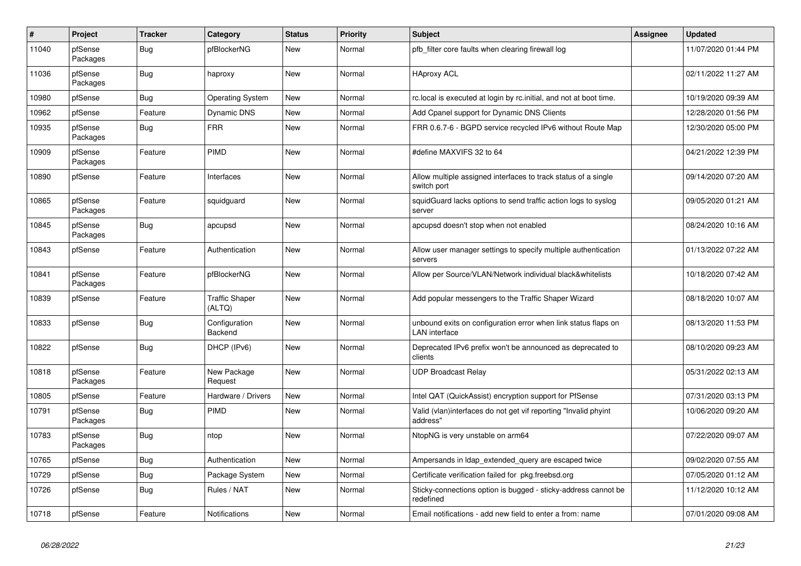| $\pmb{\#}$ | Project             | <b>Tracker</b> | Category                        | <b>Status</b> | <b>Priority</b> | <b>Subject</b>                                                                         | <b>Assignee</b> | <b>Updated</b>      |
|------------|---------------------|----------------|---------------------------------|---------------|-----------------|----------------------------------------------------------------------------------------|-----------------|---------------------|
| 11040      | pfSense<br>Packages | Bug            | pfBlockerNG                     | New           | Normal          | pfb filter core faults when clearing firewall log                                      |                 | 11/07/2020 01:44 PM |
| 11036      | pfSense<br>Packages | <b>Bug</b>     | haproxy                         | <b>New</b>    | Normal          | <b>HAproxy ACL</b>                                                                     |                 | 02/11/2022 11:27 AM |
| 10980      | pfSense             | Bug            | Operating System                | New           | Normal          | rc.local is executed at login by rc.initial, and not at boot time.                     |                 | 10/19/2020 09:39 AM |
| 10962      | pfSense             | Feature        | <b>Dynamic DNS</b>              | <b>New</b>    | Normal          | Add Cpanel support for Dynamic DNS Clients                                             |                 | 12/28/2020 01:56 PM |
| 10935      | pfSense<br>Packages | <b>Bug</b>     | <b>FRR</b>                      | New           | Normal          | FRR 0.6.7-6 - BGPD service recycled IPv6 without Route Map                             |                 | 12/30/2020 05:00 PM |
| 10909      | pfSense<br>Packages | Feature        | <b>PIMD</b>                     | <b>New</b>    | Normal          | #define MAXVIFS 32 to 64                                                               |                 | 04/21/2022 12:39 PM |
| 10890      | pfSense             | Feature        | <b>Interfaces</b>               | <b>New</b>    | Normal          | Allow multiple assigned interfaces to track status of a single<br>switch port          |                 | 09/14/2020 07:20 AM |
| 10865      | pfSense<br>Packages | Feature        | squidguard                      | New           | Normal          | squidGuard lacks options to send traffic action logs to syslog<br>server               |                 | 09/05/2020 01:21 AM |
| 10845      | pfSense<br>Packages | <b>Bug</b>     | apcupsd                         | <b>New</b>    | Normal          | apcupsd doesn't stop when not enabled                                                  |                 | 08/24/2020 10:16 AM |
| 10843      | pfSense             | Feature        | Authentication                  | New           | Normal          | Allow user manager settings to specify multiple authentication<br>servers              |                 | 01/13/2022 07:22 AM |
| 10841      | pfSense<br>Packages | Feature        | pfBlockerNG                     | <b>New</b>    | Normal          | Allow per Source/VLAN/Network individual black&whitelists                              |                 | 10/18/2020 07:42 AM |
| 10839      | pfSense             | Feature        | <b>Traffic Shaper</b><br>(ALTQ) | New           | Normal          | Add popular messengers to the Traffic Shaper Wizard                                    |                 | 08/18/2020 10:07 AM |
| 10833      | pfSense             | Bug            | Configuration<br>Backend        | <b>New</b>    | Normal          | unbound exits on configuration error when link status flaps on<br><b>LAN</b> interface |                 | 08/13/2020 11:53 PM |
| 10822      | pfSense             | Bug            | DHCP (IPv6)                     | New           | Normal          | Deprecated IPv6 prefix won't be announced as deprecated to<br>clients                  |                 | 08/10/2020 09:23 AM |
| 10818      | pfSense<br>Packages | Feature        | New Package<br>Request          | New           | Normal          | UDP Broadcast Relay                                                                    |                 | 05/31/2022 02:13 AM |
| 10805      | pfSense             | Feature        | Hardware / Drivers              | New           | Normal          | Intel QAT (QuickAssist) encryption support for PfSense                                 |                 | 07/31/2020 03:13 PM |
| 10791      | pfSense<br>Packages | <b>Bug</b>     | PIMD                            | <b>New</b>    | Normal          | Valid (vlan)interfaces do not get vif reporting "Invalid phyint<br>address"            |                 | 10/06/2020 09:20 AM |
| 10783      | pfSense<br>Packages | <b>Bug</b>     | ntop                            | New           | Normal          | NtopNG is very unstable on arm64                                                       |                 | 07/22/2020 09:07 AM |
| 10765      | pfSense             | Bug            | Authentication                  | <b>New</b>    | Normal          | Ampersands in Idap_extended_query are escaped twice                                    |                 | 09/02/2020 07:55 AM |
| 10729      | pfSense             | Bug            | Package System                  | New           | Normal          | Certificate verification failed for pkg.freebsd.org                                    |                 | 07/05/2020 01:12 AM |
| 10726      | pfSense             | Bug            | Rules / NAT                     | New           | Normal          | Sticky-connections option is bugged - sticky-address cannot be<br>redefined            |                 | 11/12/2020 10:12 AM |
| 10718      | pfSense             | Feature        | Notifications                   | New           | Normal          | Email notifications - add new field to enter a from: name                              |                 | 07/01/2020 09:08 AM |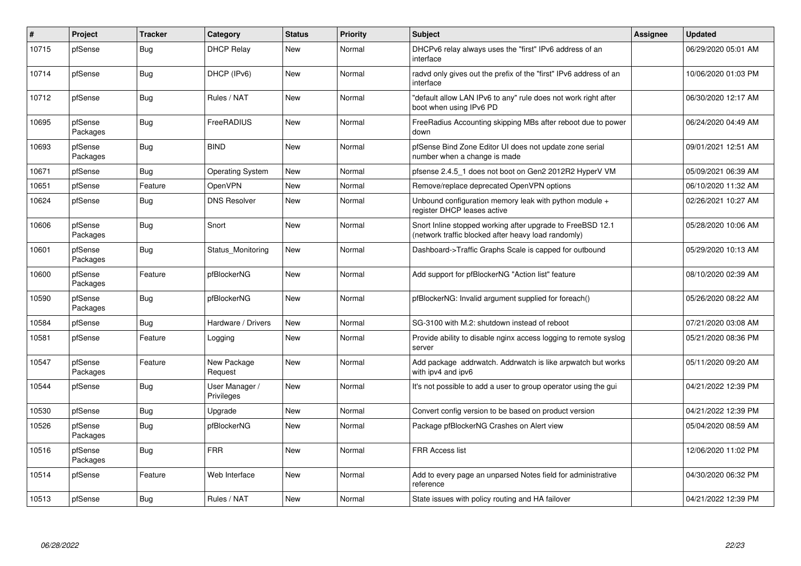| #     | Project             | <b>Tracker</b> | Category                     | <b>Status</b> | <b>Priority</b> | <b>Subject</b>                                                                                                    | Assignee | <b>Updated</b>      |
|-------|---------------------|----------------|------------------------------|---------------|-----------------|-------------------------------------------------------------------------------------------------------------------|----------|---------------------|
| 10715 | pfSense             | Bug            | <b>DHCP Relay</b>            | <b>New</b>    | Normal          | DHCPv6 relay always uses the "first" IPv6 address of an<br>interface                                              |          | 06/29/2020 05:01 AM |
| 10714 | pfSense             | <b>Bug</b>     | DHCP (IPv6)                  | New           | Normal          | radvd only gives out the prefix of the "first" IPv6 address of an<br>interface                                    |          | 10/06/2020 01:03 PM |
| 10712 | pfSense             | <b>Bug</b>     | Rules / NAT                  | <b>New</b>    | Normal          | "default allow LAN IPv6 to any" rule does not work right after<br>boot when using IPv6 PD                         |          | 06/30/2020 12:17 AM |
| 10695 | pfSense<br>Packages | <b>Bug</b>     | FreeRADIUS                   | <b>New</b>    | Normal          | FreeRadius Accounting skipping MBs after reboot due to power<br>down                                              |          | 06/24/2020 04:49 AM |
| 10693 | pfSense<br>Packages | Bug            | <b>BIND</b>                  | <b>New</b>    | Normal          | pfSense Bind Zone Editor UI does not update zone serial<br>number when a change is made                           |          | 09/01/2021 12:51 AM |
| 10671 | pfSense             | Bug            | <b>Operating System</b>      | <b>New</b>    | Normal          | pfsense 2.4.5 1 does not boot on Gen2 2012R2 HyperV VM                                                            |          | 05/09/2021 06:39 AM |
| 10651 | pfSense             | Feature        | OpenVPN                      | <b>New</b>    | Normal          | Remove/replace deprecated OpenVPN options                                                                         |          | 06/10/2020 11:32 AM |
| 10624 | pfSense             | Bug            | <b>DNS Resolver</b>          | New           | Normal          | Unbound configuration memory leak with python module +<br>register DHCP leases active                             |          | 02/26/2021 10:27 AM |
| 10606 | pfSense<br>Packages | <b>Bug</b>     | Snort                        | <b>New</b>    | Normal          | Snort Inline stopped working after upgrade to FreeBSD 12.1<br>(network traffic blocked after heavy load randomly) |          | 05/28/2020 10:06 AM |
| 10601 | pfSense<br>Packages | <b>Bug</b>     | Status Monitoring            | <b>New</b>    | Normal          | Dashboard->Traffic Graphs Scale is capped for outbound                                                            |          | 05/29/2020 10:13 AM |
| 10600 | pfSense<br>Packages | Feature        | pfBlockerNG                  | <b>New</b>    | Normal          | Add support for pfBlockerNG "Action list" feature                                                                 |          | 08/10/2020 02:39 AM |
| 10590 | pfSense<br>Packages | <b>Bug</b>     | pfBlockerNG                  | New           | Normal          | pfBlockerNG: Invalid argument supplied for foreach()                                                              |          | 05/26/2020 08:22 AM |
| 10584 | pfSense             | Bug            | Hardware / Drivers           | New           | Normal          | SG-3100 with M.2: shutdown instead of reboot                                                                      |          | 07/21/2020 03:08 AM |
| 10581 | pfSense             | Feature        | Logging                      | <b>New</b>    | Normal          | Provide ability to disable nginx access logging to remote syslog<br>server                                        |          | 05/21/2020 08:36 PM |
| 10547 | pfSense<br>Packages | Feature        | New Package<br>Request       | New           | Normal          | Add package addrwatch. Addrwatch is like arpwatch but works<br>with ipv4 and ipv6                                 |          | 05/11/2020 09:20 AM |
| 10544 | pfSense             | Bug            | User Manager /<br>Privileges | <b>New</b>    | Normal          | It's not possible to add a user to group operator using the gui                                                   |          | 04/21/2022 12:39 PM |
| 10530 | pfSense             | <b>Bug</b>     | Upgrade                      | <b>New</b>    | Normal          | Convert config version to be based on product version                                                             |          | 04/21/2022 12:39 PM |
| 10526 | pfSense<br>Packages | Bug            | pfBlockerNG                  | New           | Normal          | Package pfBlockerNG Crashes on Alert view                                                                         |          | 05/04/2020 08:59 AM |
| 10516 | pfSense<br>Packages | <b>Bug</b>     | <b>FRR</b>                   | New           | Normal          | <b>FRR Access list</b>                                                                                            |          | 12/06/2020 11:02 PM |
| 10514 | pfSense             | Feature        | Web Interface                | <b>New</b>    | Normal          | Add to every page an unparsed Notes field for administrative<br>reference                                         |          | 04/30/2020 06:32 PM |
| 10513 | pfSense             | Bug            | Rules / NAT                  | <b>New</b>    | Normal          | State issues with policy routing and HA failover                                                                  |          | 04/21/2022 12:39 PM |